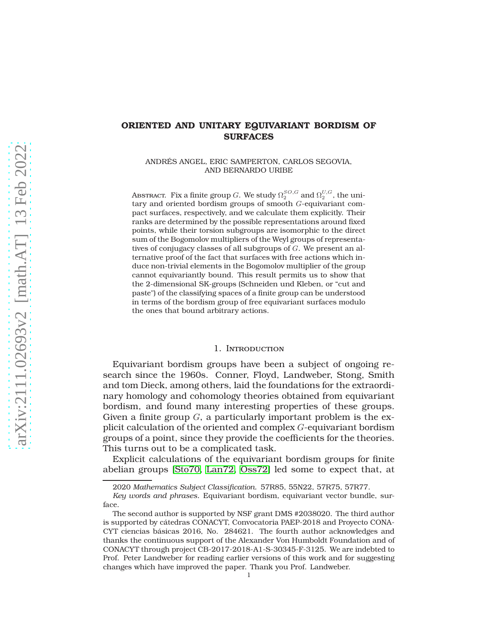# **ORIENTED AND UNITARY EQUIVARIANT BORDISM OF SURFACES**

ANDRÉS ANGEL, ERIC SAMPERTON, CARLOS SEGOVIA, AND BERNARDO URIBE

Abstract. Fix a finite group  $G.$  We study  $\Omega_2^{SO,G}$  and  $\Omega_2^{U,G},$  the unitary and oriented bordism groups of smooth G-equivariant compact surfaces, respectively, and we calculate them explicitly. Their ranks are determined by the possible representations around fixed points, while their torsion subgroups are isomorphic to the direct sum of the Bogomolov multipliers of the Weyl groups of representatives of conjugacy classes of all subgroups of G. We present an alternative proof of the fact that surfaces with free actions which induce non-trivial elements in the Bogomolov multiplier of the group cannot equivariantly bound. This result permits us to show that the 2-dimensional SK-groups (Schneiden und Kleben, or "cut and paste") of the classifying spaces of a finite group can be understood in terms of the bordism group of free equivariant surfaces modulo the ones that bound arbitrary actions.

### 1. Introduction

Equivariant bordism groups have been a subject of ongoing research since the 1960s. Conner, Floyd, Landweber, Stong, Smith and tom Dieck, among others, laid the foundations for the extraordinary homology and cohomology theories obtained from equivariant bordism, and found many interesting properties of these groups. Given a finite group  $G$ , a particularly important problem is the explicit calculation of the oriented and complex G-equivariant bordism groups of a point, since they provide the coefficients for the theories. This turns out to be a complicated task.

Explicit calculations of the equivariant bordism groups for finite abelian groups [\[Sto70,](#page-28-0) [Lan72,](#page-27-0) [Oss72\]](#page-27-1) led some to expect that, at

<sup>2020</sup> *Mathematics Subject Classification.* 57R85, 55N22, 57R75, 57R77.

*Key words and phrases.* Equivariant bordism, equivariant vector bundle, surface.

The second author is supported by NSF grant DMS #2038020. The third author is supported by cátedras CONACYT, Convocatoria PAEP-2018 and Proyecto CONA-CYT ciencias básicas 2016, No. 284621. The fourth author acknowledges and thanks the continuous support of the Alexander Von Humboldt Foundation and of CONACYT through project CB-2017-2018-A1-S-30345-F-3125. We are indebted to Prof. Peter Landweber for reading earlier versions of this work and for suggesting changes which have improved the paper. Thank you Prof. Landweber.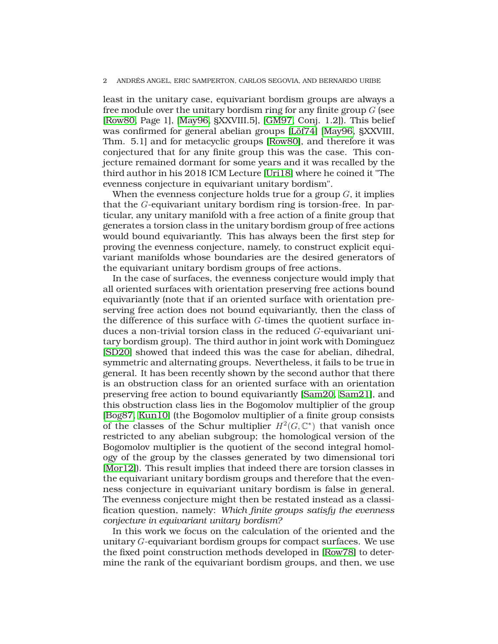least in the unitary case, equivariant bordism groups are always a free module over the unitary bordism ring for any finite group  $G$  (see [\[Row80,](#page-27-2) Page 1], [\[May96,](#page-27-3) §XXVIII.5], [\[GM97,](#page-27-4) Conj. 1.2]). This belief was confirmed for general abelian groups [\[Löf74\]](#page-27-5) [\[May96,](#page-27-3) §XXVIII, Thm. 5.1] and for metacyclic groups [\[Row80\]](#page-27-2), and therefore it was conjectured that for any finite group this was the case. This conjecture remained dormant for some years and it was recalled by the third author in his 2018 ICM Lecture [\[Uri18\]](#page-28-1) where he coined it "The evenness conjecture in equivariant unitary bordism".

When the evenness conjecture holds true for a group  $G$ , it implies that the G-equivariant unitary bordism ring is torsion-free. In particular, any unitary manifold with a free action of a finite group that generates a torsion class in the unitary bordism group of free actions would bound equivariantly. This has always been the first step for proving the evenness conjecture, namely, to construct explicit equivariant manifolds whose boundaries are the desired generators of the equivariant unitary bordism groups of free actions.

In the case of surfaces, the evenness conjecture would imply that all oriented surfaces with orientation preserving free actions bound equivariantly (note that if an oriented surface with orientation preserving free action does not bound equivariantly, then the class of the difference of this surface with G-times the quotient surface induces a non-trivial torsion class in the reduced G-equivariant unitary bordism group). The third author in joint work with Dominguez [\[SD20\]](#page-28-2) showed that indeed this was the case for abelian, dihedral, symmetric and alternating groups. Nevertheless, it fails to be true in general. It has been recently shown by the second author that there is an obstruction class for an oriented surface with an orientation preserving free action to bound equivariantly [\[Sam20,](#page-27-6) [Sam21\]](#page-27-7), and this obstruction class lies in the Bogomolov multiplier of the group [\[Bog87,](#page-26-0) [Kun10\]](#page-27-8) (the Bogomolov multiplier of a finite group consists of the classes of the Schur multiplier  $H^2(G, \mathbb{C}^*)$  that vanish once restricted to any abelian subgroup; the homological version of the Bogomolov multiplier is the quotient of the second integral homology of the group by the classes generated by two dimensional tori [\[Mor12\]](#page-27-9)). This result implies that indeed there are torsion classes in the equivariant unitary bordism groups and therefore that the evenness conjecture in equivariant unitary bordism is false in general. The evenness conjecture might then be restated instead as a classification question, namely: *Which finite groups satisfy the evenness conjecture in equivariant unitary bordism?*

In this work we focus on the calculation of the oriented and the unitary G-equivariant bordism groups for compact surfaces. We use the fixed point construction methods developed in [\[Row78\]](#page-27-10) to determine the rank of the equivariant bordism groups, and then, we use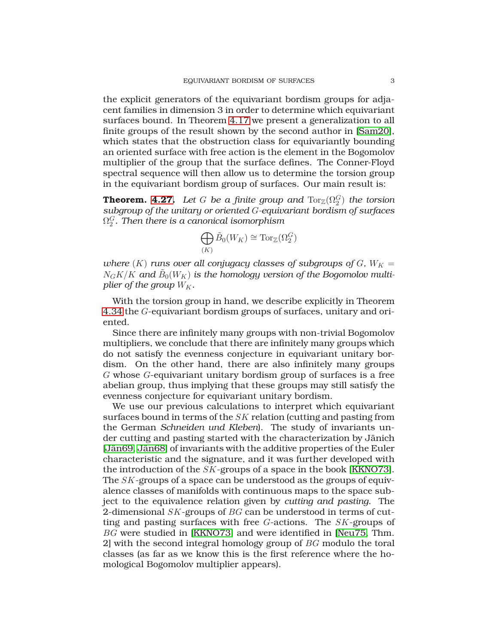the explicit generators of the equivariant bordism groups for adjacent families in dimension 3 in order to determine which equivariant surfaces bound. In Theorem [4.17](#page-18-0) we present a generalization to all finite groups of the result shown by the second author in [\[Sam20\]](#page-27-6), which states that the obstruction class for equivariantly bounding an oriented surface with free action is the element in the Bogomolov multiplier of the group that the surface defines. The Conner-Floyd spectral sequence will then allow us to determine the torsion group in the equivariant bordism group of surfaces. Our main result is:

**Theorem. [4.27.](#page-20-0)** Let  $G$  be a finite group and  $\mathrm{Tor}_{\mathbb{Z}}(\Omega_2^G)$  the torsion *subgroup of the unitary or oriented* G*-equivariant bordism of surfaces*  $\Omega_2^G.$  Then there is a canonical isomorphism

$$
\bigoplus_{(K)} \tilde{B}_0(W_K) \cong \mathrm{Tor}_{\mathbb{Z}}(\Omega_2^G)
$$

*where*  $(K)$  *runs over all conjugacy classes of subgroups of*  $G$ *,*  $W_K =$  $N_G K/K$  and  $\tilde{B}_0(W_K)$  is the homology version of the Bogomolov multi*plier of the group*  $W_K$ .

With the torsion group in hand, we describe explicitly in Theorem [4.34](#page-21-0) the G-equivariant bordism groups of surfaces, unitary and oriented.

Since there are infinitely many groups with non-trivial Bogomolov multipliers, we conclude that there are infinitely many groups which do not satisfy the evenness conjecture in equivariant unitary bordism. On the other hand, there are also infinitely many groups G whose G-equivariant unitary bordism group of surfaces is a free abelian group, thus implying that these groups may still satisfy the evenness conjecture for equivariant unitary bordism.

We use our previous calculations to interpret which equivariant surfaces bound in terms of the SK relation (cutting and pasting from the German *Schneiden und Kleben*). The study of invariants under cutting and pasting started with the characterization by Jänich [\[Jän69,](#page-27-11) [Jän68\]](#page-27-12) of invariants with the additive properties of the Euler characteristic and the signature, and it was further developed with the introduction of the SK-groups of a space in the book [\[KKNO73\]](#page-27-13). The SK-groups of a space can be understood as the groups of equivalence classes of manifolds with continuous maps to the space subject to the equivalence relation given by *cutting and pasting*. The 2-dimensional  $SK$ -groups of  $BG$  can be understood in terms of cutting and pasting surfaces with free G-actions. The SK-groups of BG were studied in [\[KKNO73\]](#page-27-13) and were identified in [\[Neu75,](#page-27-14) Thm. 2] with the second integral homology group of BG modulo the toral classes (as far as we know this is the first reference where the homological Bogomolov multiplier appears).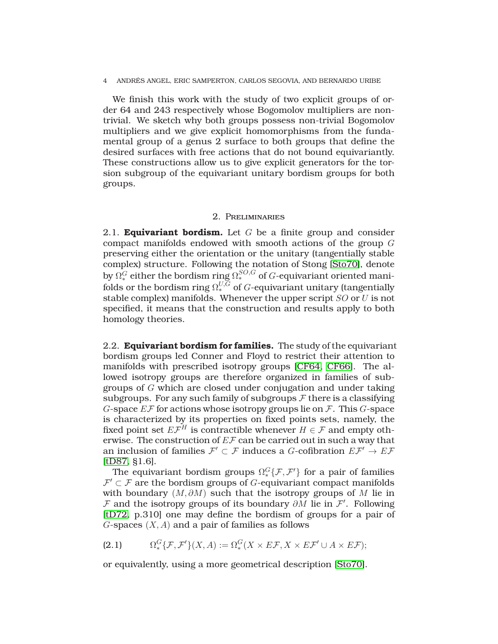We finish this work with the study of two explicit groups of order 64 and 243 respectively whose Bogomolov multipliers are nontrivial. We sketch why both groups possess non-trivial Bogomolov multipliers and we give explicit homomorphisms from the fundamental group of a genus 2 surface to both groups that define the desired surfaces with free actions that do not bound equivariantly. These constructions allow us to give explicit generators for the torsion subgroup of the equivariant unitary bordism groups for both groups.

### 2. Preliminaries

2.1. **Equivariant bordism.** Let G be a finite group and consider compact manifolds endowed with smooth actions of the group G preserving either the orientation or the unitary (tangentially stable complex) structure. Following the notation of Stong [\[Sto70\]](#page-28-0), denote by  $\Omega_*^G$  either the bordism ring  $\Omega_*^{SO,G}$  of  $G$ -equivariant oriented manifolds or the bordism ring  $\Omega^{U,G}_{*}$  of  $G$ -equivariant unitary (tangentially stable complex) manifolds. Whenever the upper script SO or U is not specified, it means that the construction and results apply to both homology theories.

2.2. **Equivariant bordism for families.** The study of the equivariant bordism groups led Conner and Floyd to restrict their attention to manifolds with prescribed isotropy groups [\[CF64,](#page-26-1) [CF66\]](#page-26-2). The allowed isotropy groups are therefore organized in families of subgroups of G which are closed under conjugation and under taking subgroups. For any such family of subgroups  $\mathcal F$  there is a classifying G-space  $E\mathcal{F}$  for actions whose isotropy groups lie on  $\mathcal{F}$ . This G-space is characterized by its properties on fixed points sets, namely, the fixed point set  $E\mathcal{F}^H$  is contractible whenever  $H\in\mathcal{F}$  and empty otherwise. The construction of  $E\mathcal{F}$  can be carried out in such a way that an inclusion of families  $\mathcal{F}' \subset \mathcal{F}$  induces a G-cofibration  $E\mathcal{F}' \to E\mathcal{F}$ [\[tD87,](#page-28-3) §1.6].

The equivariant bordism groups  $\Omega_*^G\{{\cal F},{\cal F}'\}$  for a pair of families  $\mathcal{F}'\subset\mathcal{F}$  are the bordism groups of G-equivariant compact manifolds with boundary  $(M, \partial M)$  such that the isotropy groups of M lie in  $F$  and the isotropy groups of its boundary  $\partial M$  lie in  $\mathcal{F}'$ . Following [\[tD72,](#page-28-4) p.310] one may define the bordism of groups for a pair of  $G$ -spaces  $(X, A)$  and a pair of families as follows

$$
(2.1) \qquad \Omega_*^G\{\mathcal{F},\mathcal{F}'\}(X,A):=\Omega_*^G(X\times E\mathcal{F},X\times E\mathcal{F}'\cup A\times E\mathcal{F});
$$

or equivalently, using a more geometrical description [\[Sto70\]](#page-28-0).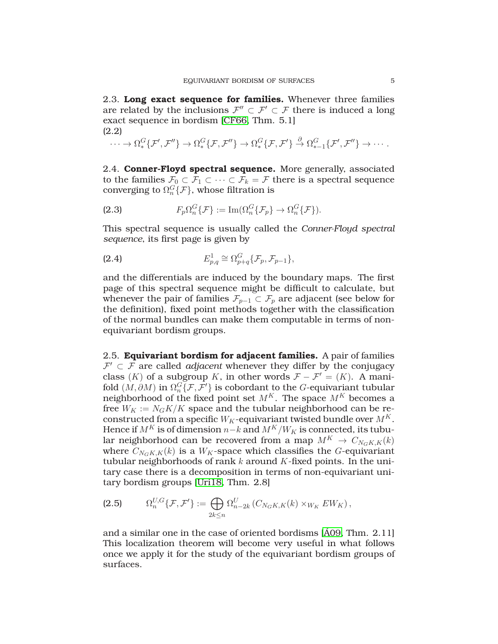2.3. **Long exact sequence for families.** Whenever three families are related by the inclusions  $\mathcal{F}'' \subset \mathcal{F}' \subset \mathcal{F}$  there is induced a long exact sequence in bordism [\[CF66,](#page-26-2) Thm. 5.1] (2.2)

$$
\cdots \to \Omega_*^G\{\mathcal{F}',\mathcal{F}''\} \to \Omega_*^G\{\mathcal{F},\mathcal{F}''\} \to \Omega_*^G\{\mathcal{F},\mathcal{F}'\} \stackrel{\partial}{\to} \Omega_{*-1}^G\{\mathcal{F}',\mathcal{F}''\} \to \cdots.
$$

<span id="page-4-1"></span>2.4. **Conner-Floyd spectral sequence.** More generally, associated to the families  $\mathcal{F}_0 \subset \mathcal{F}_1 \subset \cdots \subset \mathcal{F}_k = \mathcal{F}$  there is a spectral sequence converging to  $\Omega_n^G\{\mathcal{F}\}\,$ , whose filtration is

(2.3) 
$$
F_p\Omega_n^G\{\mathcal{F}\} := \operatorname{Im}(\Omega_n^G\{\mathcal{F}_p\} \to \Omega_n^G\{\mathcal{F}\}).
$$

This spectral sequence is usually called the *Conner-Floyd spectral sequence*, its first page is given by

$$
E_{p,q}^1 \cong \Omega_{p+q}^G \{ \mathcal{F}_p, \mathcal{F}_{p-1} \},\
$$

and the differentials are induced by the boundary maps. The first page of this spectral sequence might be difficult to calculate, but whenever the pair of families  $\mathcal{F}_{p-1} \subset \mathcal{F}_p$  are adjacent (see below for the definition), fixed point methods together with the classification of the normal bundles can make them computable in terms of nonequivariant bordism groups.

2.5. **Equivariant bordism for adjacent families.** A pair of families  $\mathcal{F}' \subset \mathcal{F}$  are called *adjacent* whenever they differ by the conjugacy class (K) of a subgroup K, in other words  $\mathcal{F} - \mathcal{F}' = (K)$ . A manifold  $(M, \partial M)$  in  $\Omega_n^G\{\mathcal{F}, \mathcal{F}'\}$  is cobordant to the  $G$ -equivariant tubular neighborhood of the fixed point set  $M^K$ . The space  $M^K$  becomes a free  $W_K := N_G K/K$  space and the tubular neighborhood can be reconstructed from a specific  $W_K$ -equivariant twisted bundle over  $M^K$ . Hence if  $M^K$  is of dimension  $n-k$  and  $M^K/W_K$  is connected, its tubular neighborhood can be recovered from a map  $M^K \to C_{N_GK,K}(k)$ where  $C_{N_GK,K}(k)$  is a  $W_K$ -space which classifies the G-equivariant tubular neighborhoods of rank  $k$  around  $K$ -fixed points. In the unitary case there is a decomposition in terms of non-equivariant unitary bordism groups [\[Uri18,](#page-28-1) Thm. 2.8]

<span id="page-4-0"></span>(2.5) 
$$
\Omega_n^{U,G}\{\mathcal{F},\mathcal{F}'\} := \bigoplus_{2k \leq n} \Omega_{n-2k}^U(C_{N_GK,K}(k) \times_{W_K} EW_K),
$$

and a similar one in the case of oriented bordisms [\[Á09,](#page-26-3) Thm. 2.11] This localization theorem will become very useful in what follows once we apply it for the study of the equivariant bordism groups of surfaces.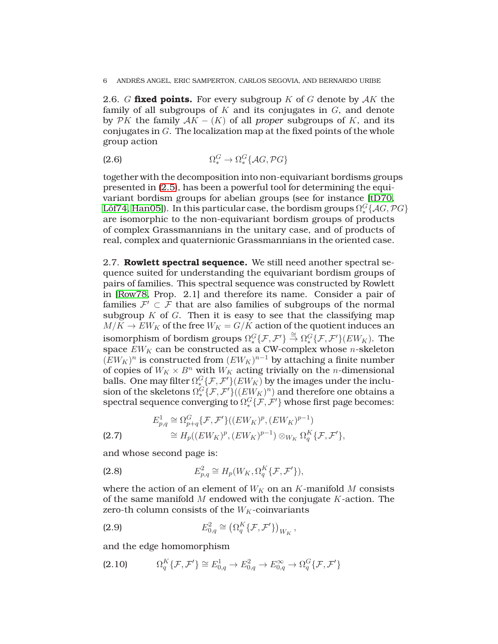2.6. G **fixed points.** For every subgroup K of G denote by  $AK$  the family of all subgroups of  $K$  and its conjugates in  $G$ , and denote by  $\mathcal{P}K$  the family  $\mathcal{A}K - (K)$  of all *proper* subgroups of K, and its conjugates in  $G$ . The localization map at the fixed points of the whole group action

$$
\Omega_*^G \to \Omega_*^G \{ \mathcal{A}G, \mathcal{P}G \}
$$

together with the decomposition into non-equivariant bordisms groups presented in [\(2.5\)](#page-4-0), has been a powerful tool for determining the equivariant bordism groups for abelian groups (see for instance [\[tD70,](#page-28-5) [Löf74,](#page-27-5) [Han05\]](#page-27-15)). In this particular case, the bordism groups  $\Omega_*^G\{\mathcal{A} G, \mathcal{P} G\}$ are isomorphic to the non-equivariant bordism groups of products of complex Grassmannians in the unitary case, and of products of real, complex and quaternionic Grassmannians in the oriented case.

2.7. **Rowlett spectral sequence.** We still need another spectral sequence suited for understanding the equivariant bordism groups of pairs of families. This spectral sequence was constructed by Rowlett in [\[Row78,](#page-27-10) Prop. 2.1] and therefore its name. Consider a pair of families  $\mathcal{F}' \subset \mathcal{F}$  that are also families of subgroups of the normal subgroup  $K$  of  $G$ . Then it is easy to see that the classifying map  $M/K \to EW_K$  of the free  $W_K = G/K$  action of the quotient induces an isomorphism of bordism groups  $\Omega_*^G\{\mathcal{F},\mathcal{F}'\}\stackrel{\cong}{\to}\Omega_*^G\{\mathcal{F},\mathcal{F}'\}(EW_K)$ . The space  $EW_K$  can be constructed as a CW-complex whose *n*-skeleton  $(EW_K)^n$  is constructed from  $(EW_K)^{n-1}$  by attaching a finite number of copies of  $W_K \times B^n$  with  $W_K$  acting trivially on the *n*-dimensional balls. One may filter  $\Omega_*^G\{\mathcal{F},\mathcal{F}'\}(EW_K)$  by the images under the inclusion of the skeletons  $\Omega_*^G\{\mathcal{F},\mathcal{F}'\}((E W_K)^n)$  and therefore one obtains a spectral sequence converging to  $\Omega_*^G\{\mathcal{F},\mathcal{F}'\}$  whose first page becomes:

$$
E_{p,q}^1 \cong \Omega_{p+q}^G\{\mathcal{F}, \mathcal{F}'\}((EW_K)^p, (EW_K)^{p-1})
$$
  
\n
$$
\cong H_p((EW_K)^p, (EW_K)^{p-1}) \otimes_{W_K} \Omega_q^K\{\mathcal{F}, \mathcal{F}'\},
$$

and whose second page is:

(2.8) 
$$
E_{p,q}^2 \cong H_p(W_K, \Omega_q^K\{\mathcal{F}, \mathcal{F}'\}),
$$

where the action of an element of  $W_K$  on an K-manifold M consists of the same manifold  $M$  endowed with the conjugate  $K$ -action. The zero-th column consists of the  ${\cal W}_{\cal K}$  -coinvariants

(2.9) 
$$
E_{0,q}^2 \cong (\Omega_q^K \{ \mathcal{F}, \mathcal{F}' \})_{W_K},
$$

and the edge homomorphism

$$
(2.10) \t \Omega_q^K \{ \mathcal{F}, \mathcal{F}' \} \cong E_{0,q}^1 \to E_{0,q}^2 \to E_{0,q}^\infty \to \Omega_q^G \{ \mathcal{F}, \mathcal{F}' \}
$$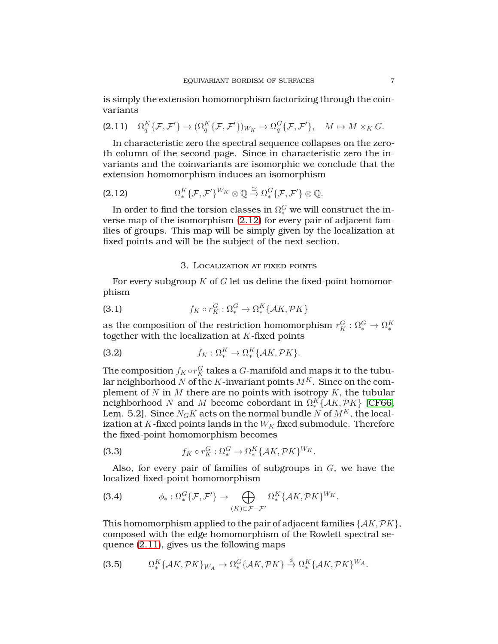is simply the extension homomorphism factorizing through the coinvariants

<span id="page-6-1"></span>
$$
(2.11) \quad \Omega_q^K\{\mathcal{F},\mathcal{F}'\}\to (\Omega_q^K\{\mathcal{F},\mathcal{F}'\})_{W_K}\to \Omega_q^G\{\mathcal{F},\mathcal{F}'\}, \quad M\mapsto M\times_K G.
$$

In characteristic zero the spectral sequence collapses on the zeroth column of the second page. Since in characteristic zero the invariants and the coinvariants are isomorphic we conclude that the extension homomorphism induces an isomorphism

<span id="page-6-0"></span>(2.12) 
$$
\Omega_*^K \{ \mathcal{F}, \mathcal{F}' \}^{W_K} \otimes \mathbb{Q} \stackrel{\cong}{\to} \Omega_*^G \{ \mathcal{F}, \mathcal{F}' \} \otimes \mathbb{Q}.
$$

In order to find the torsion classes in  $\Omega_*^G$  we will construct the inverse map of the isomorphism [\(2.12\)](#page-6-0) for every pair of adjacent families of groups. This map will be simply given by the localization at fixed points and will be the subject of the next section.

### 3. Localization at fixed points

For every subgroup  $K$  of  $G$  let us define the fixed-point homomorphism

(3.1) 
$$
f_K \circ r_K^G : \Omega_*^G \to \Omega_*^K \{ \mathcal{A}K, \mathcal{P}K \}
$$

as the composition of the restriction homomorphism  $r_K^G : \Omega_*^G \to \Omega_*^K$ together with the localization at  $K$ -fixed points

<span id="page-6-3"></span>(3.2) 
$$
f_K: \Omega_*^K \to \Omega_*^K \{ \mathcal{A}K, \mathcal{P}K \}.
$$

The composition  $f_K \circ r_K^G$  takes a  $G$ -manifold and maps it to the tubular neighborhood N of the K-invariant points  $M^K$ . Since on the complement of  $N$  in  $M$  there are no points with isotropy  $K$ , the tubular neighborhood N and M become cobordant in  $\Omega_*^K\{\mathcal{A}K,\mathcal{P}K\}$  [\[CF66,](#page-26-2) Lem. 5.2]. Since  $N_GK$  acts on the normal bundle N of  $M^K$ , the localization at  $K$ -fixed points lands in the  $W_K$  fixed submodule. Therefore the fixed-point homomorphism becomes

(3.3) 
$$
f_K \circ r_K^G : \Omega_*^G \to \Omega_*^K \{ \mathcal{A}K, \mathcal{P}K \}^{W_K}.
$$

Also, for every pair of families of subgroups in  $G$ , we have the localized fixed-point homomorphism

<span id="page-6-2"></span>(3.4) 
$$
\phi_*: \Omega_*^G\{\mathcal{F}, \mathcal{F}'\} \to \bigoplus_{(K)\subset \mathcal{F} - \mathcal{F}'} \Omega_*^K\{\mathcal{A}K, \mathcal{P}K\}^{W_K}.
$$

This homomorphism applied to the pair of adjacent families  $\{AK, PK\}$ , composed with the edge homomorphism of the Rowlett spectral sequence [\(2.11\)](#page-6-1), gives us the following maps

(3.5) 
$$
\Omega_*^K\{\mathcal{A}K,\mathcal{P}K\}_{W_A}\to\Omega_*^G\{\mathcal{A}K,\mathcal{P}K\}\stackrel{\phi}{\to}\Omega_*^K\{\mathcal{A}K,\mathcal{P}K\}^{W_A}.
$$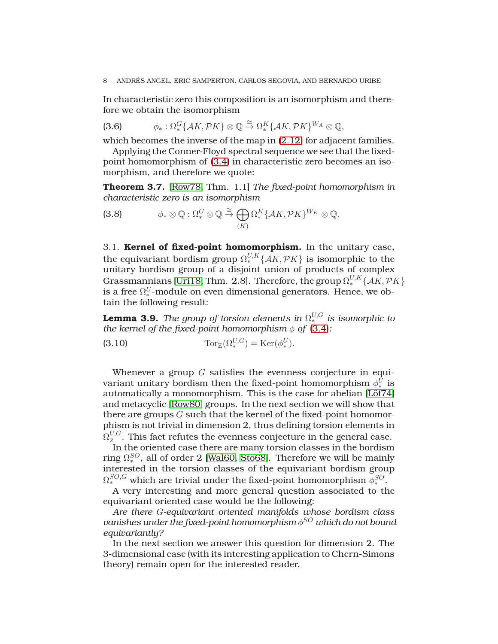In characteristic zero this composition is an isomorphism and therefore we obtain the isomorphism

(3.6) 
$$
\phi_*: \Omega_*^G\{\mathcal{A}K, \mathcal{P}K\} \otimes \mathbb{Q} \stackrel{\cong}{\to} \Omega_*^K\{\mathcal{A}K, \mathcal{P}K\}^{W_A} \otimes \mathbb{Q},
$$

which becomes the inverse of the map in  $(2.12)$  for adjacent families.

Applying the Conner-Floyd spectral sequence we see that the fixedpoint homomorphism of [\(3.4\)](#page-6-2) in characteristic zero becomes an isomorphism, and therefore we quote:

**Theorem 3.7.** [\[Row78,](#page-27-10) Thm. 1.1] *The fixed-point homomorphism in characteristic zero is an isomorphism*

<span id="page-7-0"></span>(3.8) 
$$
\phi_* \otimes \mathbb{Q} : \Omega_*^G \otimes \mathbb{Q} \stackrel{\cong}{\to} \bigoplus_{(K)} \Omega_*^K \{ \mathcal{A}K, \mathcal{P}K \}^{W_K} \otimes \mathbb{Q}.
$$

3.1. **Kernel of fixed-point homomorphism.** In the unitary case, the equivariant bordism group  $\Omega^{U,K}_* \{ {\cal A} K,{\cal P} K \}$  is isomorphic to the unitary bordism group of a disjoint union of products of complex Grassmannians [\[Uri18,](#page-28-1) Thm. 2.8]. Therefore, the group  $\Omega^{U,K}_* \{ \mathcal{A}K, \mathcal{P}K \}$ is a free  $\Omega^U_*$ -module on even dimensional generators. Hence, we obtain the following result:

 ${\bf Lemma~ 3.9.}$  *The group of torsion elements in*  $\Omega^{U,G}_*$  *is isomorphic to the kernel of the fixed-point homomorphism*  $\phi$  *of* [\(3.4\)](#page-6-2):

(3.10) 
$$
\operatorname{Tor}_{\mathbb{Z}}(\Omega_*^{U,G}) = \operatorname{Ker}(\phi_*^U).
$$

Whenever a group  $G$  satisfies the evenness conjecture in equivariant unitary bordism then the fixed-point homomorphism  $\phi_*^U$  is automatically a monomorphism. This is the case for abelian [\[Löf74\]](#page-27-5) and metacyclic [\[Row80\]](#page-27-2) groups. In the next section we will show that there are groups  $G$  such that the kernel of the fixed-point homomorphism is not trivial in dimension 2, thus defining torsion elements in  $\Omega^{U,G}_2$  $2^{\nu,\mathbf{G}}$ . This fact refutes the evenness conjecture in the general case.

In the oriented case there are many torsion classes in the bordism ring  $\Omega_*^{SO}$ , all of order 2 [\[Wal60,](#page-28-6) [Sto68\]](#page-28-7). Therefore we will be mainly interested in the torsion classes of the equivariant bordism group  $\Omega^{SO,G}_{*}$  which are trivial under the fixed-point homomorphism  $\phi^{SO}_{*}.$ 

A very interesting and more general question associated to the equivariant oriented case would be the following:

*Are there* G*-equivariant oriented manifolds whose bordism class vanishes under the fixed-point homomorphism* φ SO *which do not bound equivariantly?*

In the next section we answer this question for dimension 2. The 3-dimensional case (with its interesting application to Chern-Simons theory) remain open for the interested reader.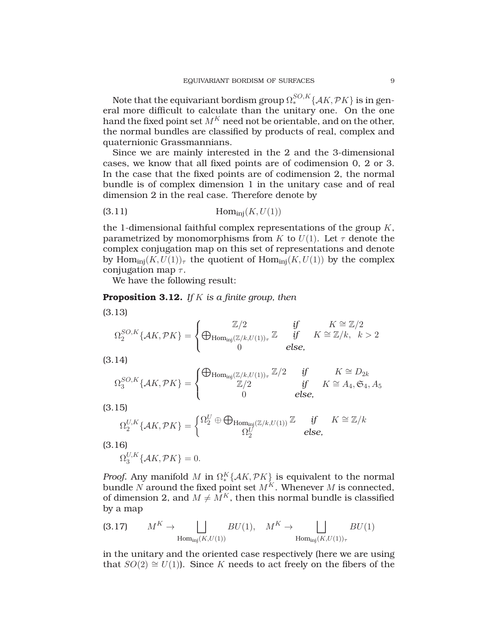Note that the equivariant bordism group  $\Omega^{SO,K}_* \{ {\cal A} K,{\cal P} K \}$  is in general more difficult to calculate than the unitary one. On the one hand the fixed point set  $M^K$  need not be orientable, and on the other, the normal bundles are classified by products of real, complex and quaternionic Grassmannians.

Since we are mainly interested in the 2 and the 3-dimensional cases, we know that all fixed points are of codimension 0, 2 or 3. In the case that the fixed points are of codimension 2, the normal bundle is of complex dimension 1 in the unitary case and of real dimension 2 in the real case. Therefore denote by

$$
(3.11) \t\t Hominj(K, U(1))
$$

the 1-dimensional faithful complex representations of the group  $K$ , parametrized by monomorphisms from K to  $U(1)$ . Let  $\tau$  denote the complex conjugation map on this set of representations and denote by  $\text{Hom}_{\text{ini}}(K, U(1))_{\tau}$  the quotient of  $\text{Hom}_{\text{ini}}(K, U(1))$  by the complex conjugation map  $\tau$ .

We have the following result:

<span id="page-8-1"></span>**Proposition 3.12.** *If* K *is a finite group, then*

(3.13)  
\n
$$
\Omega_2^{SO,K}\{\mathcal{A}K,\mathcal{P}K\} = \begin{cases}\n\mathbb{Z}/2 & \text{if } K \cong \mathbb{Z}/2\\
\bigoplus_{\text{Hom}_{\text{inj}}(\mathbb{Z}/k,U(1))_{\tau}}\mathbb{Z} & \text{if } K \cong \mathbb{Z}/k, k > 2\\
0 & \text{else,}\n\end{cases}
$$

(3.14)

$$
\Omega_3^{SO,K}\{\mathcal{A}K,\mathcal{P}K\} = \begin{cases} \bigoplus_{\text{Hom}_{\text{inj}}(\mathbb{Z}/k,U(1))_{\tau}} \mathbb{Z}/2 & \text{if} \\ \mathbb{Z}/2 & \text{if} \\ 0 & \text{else,} \end{cases} K \cong D_{2k}
$$

(3.15)

$$
\Omega_2^{U,K}\{\mathcal{A}K,\mathcal{P}K\} = \begin{cases} \Omega_2^U \oplus \bigoplus_{\text{Hom}_{\text{inj}}(\mathbb{Z}/k,U(1))} \mathbb{Z} & \text{if} \qquad K \cong \mathbb{Z}/k \\ 0 & \text{else,} \end{cases}
$$

(3.16)

$$
\Omega_3^{U,K}\{\mathcal{A}K,\mathcal{P}K\}=0.
$$

*Proof.* Any manifold M in  $\Omega_*^K\{AK,\mathcal{P}K\}$  is equivalent to the normal bundle N around the fixed point set  $M<sup>K</sup>$ . Whenever M is connected, of dimension 2, and  $M \neq M^K$ , then this normal bundle is classified by a map

<span id="page-8-0"></span>(3.17) 
$$
M^K \to \bigsqcup_{\text{Hom}_{\text{inj}}(K, U(1))} BU(1), \quad M^K \to \bigsqcup_{\text{Hom}_{\text{inj}}(K, U(1))_{\tau}} BU(1)
$$

in the unitary and the oriented case respectively (here we are using that  $SO(2) \cong U(1)$ . Since K needs to act freely on the fibers of the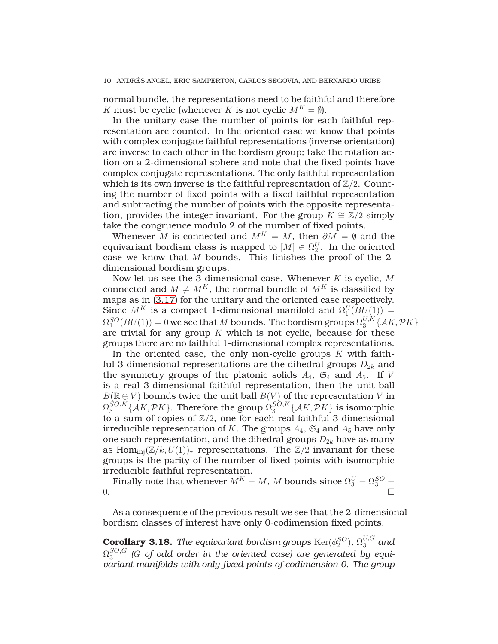normal bundle, the representations need to be faithful and therefore K must be cyclic (whenever K is not cyclic  $M^K = \emptyset$ ).

In the unitary case the number of points for each faithful representation are counted. In the oriented case we know that points with complex conjugate faithful representations (inverse orientation) are inverse to each other in the bordism group; take the rotation action on a 2-dimensional sphere and note that the fixed points have complex conjugate representations. The only faithful representation which is its own inverse is the faithful representation of  $\mathbb{Z}/2$ . Counting the number of fixed points with a fixed faithful representation and subtracting the number of points with the opposite representation, provides the integer invariant. For the group  $K \cong \mathbb{Z}/2$  simply take the congruence modulo 2 of the number of fixed points.

Whenever M is connected and  $M^K = M$ , then  $\partial M = \emptyset$  and the equivariant bordism class is mapped to  $[M] \in \Omega_2^U.$  In the oriented case we know that M bounds. This finishes the proof of the 2 dimensional bordism groups.

Now let us see the 3-dimensional case. Whenever  $K$  is cyclic,  $M$ connected and  $M \neq M^{K}$ , the normal bundle of  $M^{K}$  is classified by maps as in [\(3.17\)](#page-8-0) for the unitary and the oriented case respectively. Since  $M^K$  is a compact 1-dimensional manifold and  $\Omega_1^U(BU(1)) =$  $\Omega_1^{SO}(BU(1))=0$  we see that  $M$  bounds. The bordism groups  $\Omega_3^{U,K}$  $_{3}^{\mathrm{U},\mathrm{A}}\left\{\mathcal{A}K,\mathcal{P}K\right\}$ are trivial for any group  $K$  which is not cyclic, because for these groups there are no faithful 1-dimensional complex representations.

In the oriented case, the only non-cyclic groups  $K$  with faithful 3-dimensional representations are the dihedral groups  $D_{2k}$  and the symmetry groups of the platonic solids  $A_4$ ,  $\mathfrak{S}_4$  and  $A_5$ . If V is a real 3-dimensional faithful representation, then the unit ball  $B(\mathbb{R} \oplus V)$  bounds twice the unit ball  $B(V)$  of the representation V in  $\Omega_3^{SO,K}$  $_3^{SO,K}\{\mathcal{A}K,\mathcal{P}K\}$ . Therefore the group  $\Omega_3^{SO,K}$  $\{ \mathcal{A} K, \mathcal{P} K \}$  is isomorphic to a sum of copies of  $\mathbb{Z}/2$ , one for each real faithful 3-dimensional irreducible representation of K. The groups  $A_4$ ,  $A_4$  and  $A_5$  have only one such representation, and the dihedral groups  $D_{2k}$  have as many as Hom<sub>inj</sub> $(\mathbb{Z}/k, U(1))_{\tau}$  representations. The  $\mathbb{Z}/2$  invariant for these groups is the parity of the number of fixed points with isomorphic irreducible faithful representation.

Finally note that whenever  $M^K = M$ , M bounds since  $\Omega_3^U = \Omega_3^{SO} =$  $\overline{0}$ .

As a consequence of the previous result we see that the 2-dimensional bordism classes of interest have only 0-codimension fixed points.

**Corollary 3.18.** *The equivariant bordism groups*  $\text{Ker}(\phi_2^{SO})$ ,  $\Omega_3^{U,G}$  and  $\Omega_3^{SO,G}$  $3^{\circ\sigma,\sigma}$  (G of odd order in the oriented case) are generated by equi*variant manifolds with only fixed points of codimension 0. The group*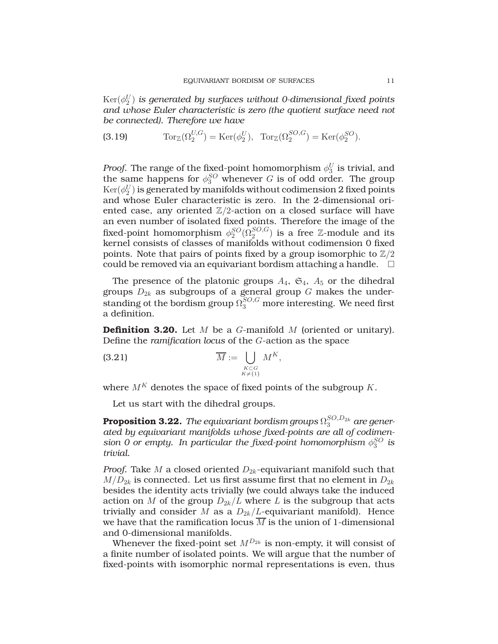$\mathrm{Ker}(\phi_2^U)$  is generated by surfaces without 0-dimensional fixed points *and whose Euler characteristic is zero (the quotient surface need not be connected). Therefore we have*

<span id="page-10-1"></span>(3.19) 
$$
\operatorname{Tor}_{\mathbb{Z}}(\Omega_2^{U,G}) = \operatorname{Ker}(\phi_2^U), \quad \operatorname{Tor}_{\mathbb{Z}}(\Omega_2^{SO,G}) = \operatorname{Ker}(\phi_2^{SO}).
$$

*Proof.* The range of the fixed-point homomorphism  $\phi_3^U$  is trivial, and the same happens for  $\phi_3^{SO}$  whenever G is of odd order. The group  $\mathrm{Ker}(\phi_2^U)$  is generated by manifolds without codimension  $2$  fixed points and whose Euler characteristic is zero. In the 2-dimensional oriented case, any oriented  $\mathbb{Z}/2$ -action on a closed surface will have an even number of isolated fixed points. Therefore the image of the fixed-point homomorphism  $\phi^{SO}_2(\Omega^{SO,G}_2)$  is a free Z-module and its kernel consists of classes of manifolds without codimension 0 fixed points. Note that pairs of points fixed by a group isomorphic to  $\mathbb{Z}/2$ could be removed via an equivariant bordism attaching a handle.  $\Box$ 

The presence of the platonic groups  $A_4$ ,  $\mathfrak{S}_4$ ,  $A_5$  or the dihedral groups  $D_{2k}$  as subgroups of a general group  $G$  makes the understanding ot the bordism group  $\Omega_3^{SO,G}$  more interesting. We need first a definition.

**Definition 3.20.** Let M be a G-manifold M (oriented or unitary). Define the *ramification locus* of the G-action as the space

(3.21) 
$$
\overline{M} := \bigcup_{\substack{K \subset G \\ K \neq \{1\}}} M^K,
$$

where  $M^K$  denotes the space of fixed points of the subgroup  $K$ .

Let us start with the dihedral groups.

<span id="page-10-0"></span> ${\bf Proposition~3.22.}$   $\it The$  equivariant bordism groups  $\Omega_3^{SO,D_{2k}}$  are gener*ated by equivariant manifolds whose fixed-points are all of codimension 0 or empty. In particular the fixed-point homomorphism*  $\phi_3^{SO}$  is *trivial.*

*Proof.* Take *M* a closed oriented  $D_{2k}$ -equivariant manifold such that  $M/D_{2k}$  is connected. Let us first assume first that no element in  $D_{2k}$ besides the identity acts trivially (we could always take the induced action on M of the group  $D_{2k}/L$  where L is the subgroup that acts trivially and consider M as a  $D_{2k}/L$ -equivariant manifold). Hence we have that the ramification locus  $\overline{M}$  is the union of 1-dimensional and 0-dimensional manifolds.

Whenever the fixed-point set  $M^{D_{2k}}$  is non-empty, it will consist of a finite number of isolated points. We will argue that the number of fixed-points with isomorphic normal representations is even, thus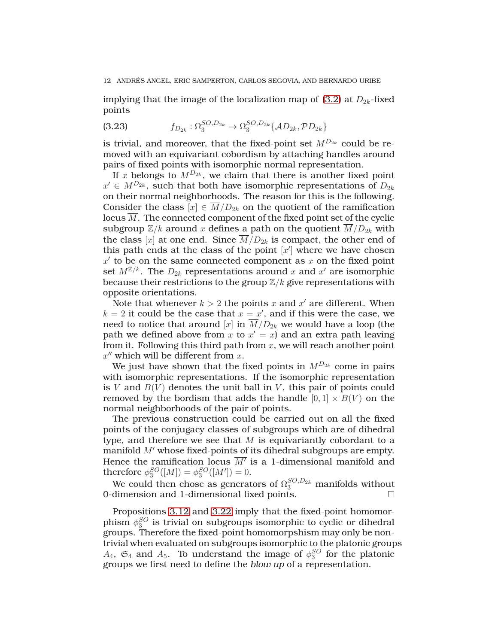implying that the image of the localization map of [\(3.2\)](#page-6-3) at  $D_{2k}$ -fixed points

(3.23) 
$$
f_{D_{2k}}: \Omega_3^{SO, D_{2k}} \to \Omega_3^{SO, D_{2k}} \{AD_{2k}, \mathcal{P}D_{2k}\}
$$

is trivial, and moreover, that the fixed-point set  $M^{D_{2k}}$  could be removed with an equivariant cobordism by attaching handles around pairs of fixed points with isomorphic normal representation.

If x belongs to  $M^{D_{2k}}$ , we claim that there is another fixed point  $x' \in M^{D_{2k}}$ , such that both have isomorphic representations of  $D_{2k}$ on their normal neighborhoods. The reason for this is the following. Consider the class  $[x] \in M/D_{2k}$  on the quotient of the ramification locus  $\overline{M}$ . The connected component of the fixed point set of the cyclic subgroup  $\mathbb{Z}/k$  around x defines a path on the quotient  $\overline{M}/D_{2k}$  with the class [x] at one end. Since  $\overline{M}/D_{2k}$  is compact, the other end of this path ends at the class of the point  $[x']$  where we have chosen  $x'$  to be on the same connected component as  $x$  on the fixed point set  $M^{\mathbb{Z}/k}$ . The  $D_{2k}$  representations around x and  $x'$  are isomorphic because their restrictions to the group  $\mathbb{Z}/k$  give representations with opposite orientations.

Note that whenever  $k > 2$  the points  $x$  and  $x'$  are different. When  $k = 2$  it could be the case that  $x = x'$ , and if this were the case, we need to notice that around [x] in  $M/D_{2k}$  we would have a loop (the path we defined above from x to  $x' = x$  and an extra path leaving from it. Following this third path from  $x$ , we will reach another point  $x''$  which will be different from  $x$ .

We just have shown that the fixed points in  $M^{D_{2k}}$  come in pairs with isomorphic representations. If the isomorphic representation is V and  $B(V)$  denotes the unit ball in V, this pair of points could removed by the bordism that adds the handle  $[0, 1] \times B(V)$  on the normal neighborhoods of the pair of points.

The previous construction could be carried out on all the fixed points of the conjugacy classes of subgroups which are of dihedral type, and therefore we see that  $M$  is equivariantly cobordant to a manifold M′ whose fixed-points of its dihedral subgroups are empty. Hence the ramification locus  $\overline{M'}$  is a 1-dimensional manifold and therefore  $\phi_3^{SO}([M]) = \phi_3^{SO}([M']) = 0.$ 

We could then chose as generators of  $\Omega_3^{SO,D_{2k}}$  manifolds without 0-dimension and 1-dimensional fixed points.

Propositions [3.12](#page-8-1) and [3.22](#page-10-0) imply that the fixed-point homomorphism  $\phi_3^{SO}$  is trivial on subgroups isomorphic to cyclic or dihedral groups. Therefore the fixed-point homomorpshism may only be nontrivial when evaluated on subgroups isomorphic to the platonic groups  $A_4$ ,  $\mathfrak{S}_4$  and  $A_5$ . To understand the image of  $\phi_3^{SO}$  for the platonic groups we first need to define the *blow up* of a representation.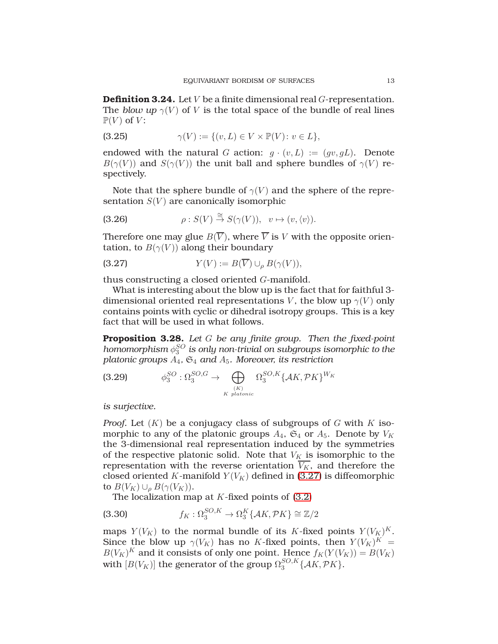<span id="page-12-2"></span>**Definition 3.24.** Let V be a finite dimensional real G-representation. The *blow up*  $\gamma(V)$  of V is the total space of the bundle of real lines  $\mathbb{P}(V)$  of V:

$$
\gamma(V) := \{(v, L) \in V \times \mathbb{P}(V) \colon v \in L\},\
$$

endowed with the natural G action:  $q \cdot (v, L) := (qv, qL)$ . Denote  $B(\gamma(V))$  and  $S(\gamma(V))$  the unit ball and sphere bundles of  $\gamma(V)$  respectively.

Note that the sphere bundle of  $\gamma(V)$  and the sphere of the representation  $S(V)$  are canonically isomorphic

(3.26) 
$$
\rho: S(V) \stackrel{\cong}{\to} S(\gamma(V)), \quad v \mapsto (v, \langle v \rangle).
$$

Therefore one may glue  $B(\overline{V})$ , where  $\overline{V}$  is V with the opposite orientation, to  $B(\gamma(V))$  along their boundary

<span id="page-12-0"></span>(3.27) 
$$
Y(V) := B(\overline{V}) \cup_{\rho} B(\gamma(V)),
$$

thus constructing a closed oriented G-manifold.

What is interesting about the blow up is the fact that for faithful 3 dimensional oriented real representations V, the blow up  $\gamma(V)$  only contains points with cyclic or dihedral isotropy groups. This is a key fact that will be used in what follows.

<span id="page-12-3"></span>**Proposition 3.28.** *Let* G *be any finite group. Then the fixed-point homomorphism*  $\phi_3^{SO}$  *is only non-trivial on subgroups isomorphic to the platonic groups* A4*,* S<sup>4</sup> *and* A5*. Moreover, its restriction*

<span id="page-12-1"></span>(3.29) 
$$
\phi_3^{SO} : \Omega_3^{SO,G} \to \bigoplus_{(K) \atop K \text{ platonic}} \Omega_3^{SO,K} \{AK, \mathcal{P}K\}^{W_K}
$$

*is surjective.*

*Proof.* Let  $(K)$  be a conjugacy class of subgroups of G with K isomorphic to any of the platonic groups  $A_4$ ,  $\mathfrak{S}_4$  or  $A_5$ . Denote by  $V_K$ the 3-dimensional real representation induced by the symmetries of the respective platonic solid. Note that  $V_K$  is isomorphic to the representation with the reverse orientation  $V_K$ , and therefore the closed oriented K-manifold  $Y(V_K)$  defined in [\(3.27\)](#page-12-0) is diffeomorphic to  $B(V_K) \cup_{\rho} B(\gamma(V_K)).$ 

The localization map at  $K$ -fixed points of [\(3.2\)](#page-6-3)

(3.30) 
$$
f_K: \Omega_3^{SO,K} \to \Omega_3^K \{ \mathcal{A}K, \mathcal{P}K \} \cong \mathbb{Z}/2
$$

maps  $Y(V_K)$  to the normal bundle of its K-fixed points  $Y(V_K)^K$ . Since the blow up  $\gamma(V_K)$  has no K-fixed points, then  $Y(V_K)^K =$  $B(V_K)^K$  and it consists of only one point. Hence  $f_K(Y(V_K)) = B(V_K)$ with  $[B(V_K)]$  the generator of the group  $\Omega_3^{SO,K}$  $_{3}^{SO,n}$  { $\mathcal{A}K, \mathcal{P}K$  }.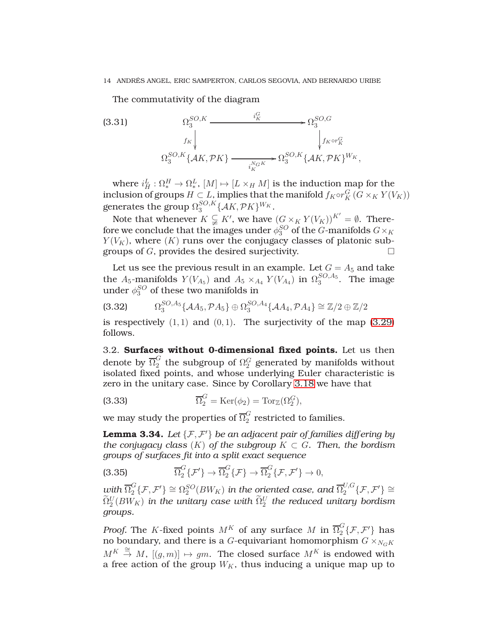The commutativity of the diagram

(3.31) 
$$
\Omega_3^{SO,K} \xrightarrow{\qquad i_K^G} \Omega_3^{SO,G}
$$

$$
\Omega_3^{FK} \downarrow \qquad \qquad \downarrow f_K \circ r_K^G
$$

$$
\Omega_3^{SO,K} \{AK, \mathcal{P}K\} \xrightarrow{\qquad \qquad i_K^{NGK}} \Omega_3^{SO,K} \{AK, \mathcal{P}K\}^{W_K},
$$

where  $i_H^L: \Omega_*^H \to \Omega_*^L, \, [M] \mapsto [L \times_H M]$  is the induction map for the inclusion of groups  $H \subset L$ , implies that the manifold  $f_K \circ r_K^G$   $(G \times_K Y(V_K))$ generates the group  $\Omega_3^{SO,K}$  $_3^{SO,K}\{\mathcal{A}K,\mathcal{P}K\}^{W_K}.$ 

Note that whenever  $K \subsetneqq K'$ , we have  $(G \times_K Y(V_K))^{K'} = \emptyset$ . Therefore we conclude that the images under  $\phi^{SO}_3$  of the  $G$ -manifolds  $G\times_K$  $Y(V_K)$ , where  $(K)$  runs over the conjugacy classes of platonic subgroups of G, provides the desired surjectivity.

Let us see the previous result in an example. Let  $G = A_5$  and take the  $A_5$ -manifolds  $Y(V_{A_5})$  and  $A_5 \times_{A_4} Y(V_{A_4})$  in  $\Omega_3^{SO, A_5}$ . The image under  $\phi_3^{SO}$  of these two manifolds in

$$
(3.32) \qquad \Omega_3^{SO,A_5} \{ \mathcal{A}A_5, \mathcal{P}A_5 \} \oplus \Omega_3^{SO,A_4} \{ \mathcal{A}A_4, \mathcal{P}A_4 \} \cong \mathbb{Z}/2 \oplus \mathbb{Z}/2
$$

is respectively  $(1, 1)$  and  $(0, 1)$ . The surjectivity of the map  $(3.29)$ follows.

3.2. **Surfaces without 0-dimensional fixed points.** Let us then denote by  $\overline{\Omega}_2^G$  $\frac{G}{2}$  the subgroup of  $\Omega_2^G$  generated by manifolds without isolated fixed points, and whose underlying Euler characteristic is zero in the unitary case. Since by Corollary [3.18](#page-10-1) we have that

(3.33) 
$$
\overline{\Omega}_2^G = \text{Ker}(\phi_2) = \text{Tor}_{\mathbb{Z}}(\Omega_2^G),
$$

we may study the properties of  $\overline{\Omega}^G_2$  $\frac{6}{2}$  restricted to families.

**Lemma 3.34.** *Let* {F, F ′} *be an adjacent pair of families differing by the conjugacy class*  $(K)$  *of the subgroup*  $K \subset G$ *. Then, the bordism groups of surfaces fit into a split exact sequence*

<span id="page-13-0"></span>(3.35) 
$$
\overline{\Omega}_2^G\{\mathcal{F}'\}\to\overline{\Omega}_2^G\{\mathcal{F}\}\to\overline{\Omega}_2^G\{\mathcal{F},\mathcal{F}'\}\to 0,
$$

 $w$ ith  $\overline{\Omega}_2^G\{\mathcal{F},\mathcal{F}'\}\cong \Omega_2^{SO}(BW_K)$  in the oriented case, and  $\overline{\Omega}_2^{U,G}\{\mathcal{F},\mathcal{F}'\}\cong$  $\widetilde{\Omega}_2^U(BW_K)$  in the unitary case with  $\widetilde{\Omega}_2^U$  the reduced unitary bordism *groups.*

*Proof.* The K-fixed points  $M^K$  of any surface M in  $\overline{\Omega}_2^G\{\mathcal{F},\mathcal{F}'\}$  has no boundary, and there is a  $G$ -equivariant homomorphism  $G\times_{N_GK}$  $M^K \stackrel{\cong}{\to} M$ ,  $[(g, m)] \mapsto gm$ . The closed surface  $M^K$  is endowed with a free action of the group  $W_K$ , thus inducing a unique map up to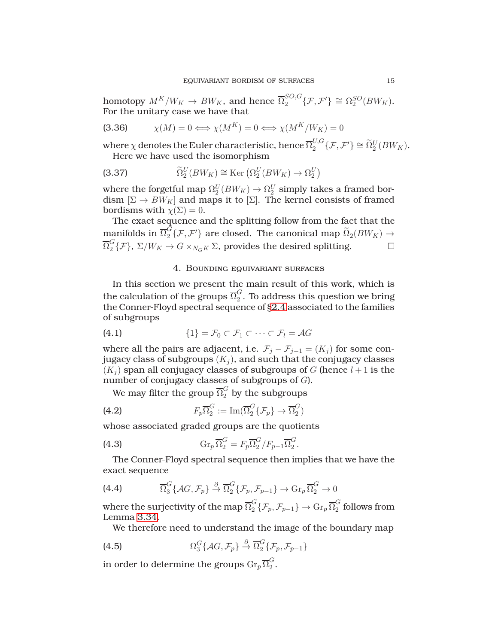homotopy  $M^K/W_K \to BW_K$ , and hence  $\overline{\Omega}_2^{SO,G}$  ${}_{2}^{SO,G}$ { $\mathcal{F}, \mathcal{F}'$ }  $\cong \Omega_{2}^{SO}(BW_{K}).$ For the unitary case we have that

(3.36) 
$$
\chi(M) = 0 \Longleftrightarrow \chi(M^K) = 0 \Longleftrightarrow \chi(M^K/W_K) = 0
$$

where  $\chi$  denotes the Euler characteristic, hence  $\overline{\Omega}^{U, G}_2$  ${}_{2}^{U,G}$ { $\mathcal{F}, \mathcal{F}'$ }  $\cong \widetilde{\Omega}_{2}^{U}(BW_{K}).$ Here we have used the isomorphism

(3.37) 
$$
\widetilde{\Omega}_2^U(BW_K) \cong \text{Ker}\left(\Omega_2^U(BW_K) \to \Omega_2^U\right)
$$

where the forgetful map  $\Omega_2^U(BW_K) \to \Omega_2^U$  simply takes a framed bordism  $[\Sigma \to BW_K]$  and maps it to  $[\Sigma]$ . The kernel consists of framed bordisms with  $\chi(\Sigma) = 0$ .

The exact sequence and the splitting follow from the fact that the manifolds in  $\overline{\Omega}_2^G\{\mathcal{F},\mathcal{F}'\}$  are closed. The canonical map  $\widetilde{\Omega}_2(BW_K)\to\mathbb{R}$  $\overline{\Omega}_2^G$  $\mathcal{L}_2^G\{\mathcal{F}\},\ \Sigma/W_K\mapsto G\times_{N_GK}\Sigma$ , provides the desired splitting.

## <span id="page-14-1"></span>4. Bounding equivariant surfaces

In this section we present the main result of this work, which is the calculation of the groups  $\overline{\Omega}^G_2$  $\frac{6}{2}$ . To address this question we bring the Conner-Floyd spectral sequence of [§2.4](#page-4-1) associated to the families of subgroups

(4.1) 
$$
\{1\} = \mathcal{F}_0 \subset \mathcal{F}_1 \subset \cdots \subset \mathcal{F}_l = \mathcal{A}G
$$

where all the pairs are adjacent, i.e.  $\mathcal{F}_j - \mathcal{F}_{j-1} = (K_j)$  for some conjugacy class of subgroups  $(K_i)$ , and such that the conjugacy classes  $(K_i)$  span all conjugacy classes of subgroups of G (hence  $l+1$  is the number of conjugacy classes of subgroups of G).

We may filter the group  $\overline{\Omega}^G_2$  by the subgroups

(4.2) 
$$
F_p \overline{\Omega}_2^G := \operatorname{Im}(\overline{\Omega}_2^G \{ \mathcal{F}_p \} \to \overline{\Omega}_2^G)
$$

whose associated graded groups are the quotients

(4.3) 
$$
\mathrm{Gr}_p \,\overline{\Omega}_2^G = F_p \overline{\Omega}_2^G / F_{p-1} \overline{\Omega}_2^G.
$$

The Conner-Floyd spectral sequence then implies that we have the exact sequence

(4.4) 
$$
\overline{\Omega}_3^G\{\mathcal{A}G, \mathcal{F}_p\} \stackrel{\partial}{\to} \overline{\Omega}_2^G\{\mathcal{F}_p, \mathcal{F}_{p-1}\} \to \mathrm{Gr}_p\,\overline{\Omega}_2^G \to 0
$$

where the surjectivity of the map  $\overline{\Omega}_2^G$  ${}_2^G\{\mathcal{F}_p,\mathcal{F}_{p-1}\}\rightarrow \mathrm{Gr}_p\,\overline{\Omega}_2^G$  $\frac{1}{2}$  follows from Lemma [3.34.](#page-13-0)

<span id="page-14-0"></span>We therefore need to understand the image of the boundary map

(4.5) 
$$
\Omega_3^G\{\mathcal{A}G, \mathcal{F}_p\} \stackrel{\partial}{\rightarrow} \overline{\Omega}_2^G\{\mathcal{F}_p, \mathcal{F}_{p-1}\}\
$$

in order to determine the groups  $\mathrm{Gr}_{p}\overline{\Omega}_{2}^{G}$  $\frac{0}{2}$ .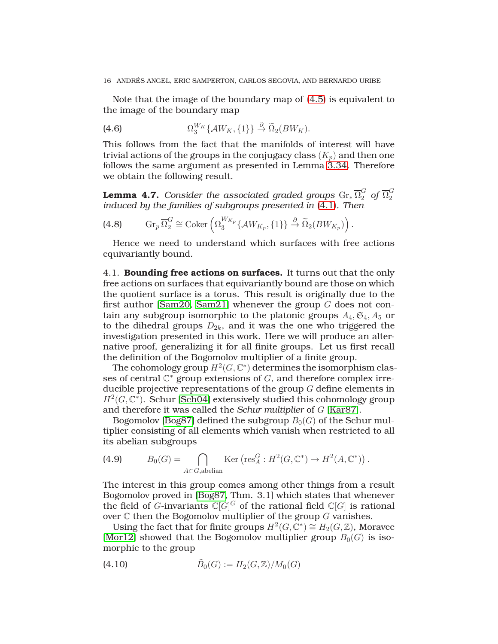Note that the image of the boundary map of [\(4.5\)](#page-14-0) is equivalent to the image of the boundary map

(4.6) 
$$
\Omega_3^{W_K} \{ \mathcal{A}W_K, \{1\} \} \stackrel{\partial}{\rightarrow} \widetilde{\Omega}_2(BW_K).
$$

This follows from the fact that the manifolds of interest will have trivial actions of the groups in the conjugacy class  $(K_p)$  and then one follows the same argument as presented in Lemma [3.34.](#page-13-0) Therefore we obtain the following result.

<span id="page-15-0"></span>**Lemma 4.7.** Consider the associated graded groups  $\mathrm{Gr}_{*}\,\overline{\Omega}_{2}^{G}$  of  $\overline{\Omega}_{2}^{G}$ 2 *induced by the families of subgroups presented in* [\(4.1\)](#page-14-1)*. Then*

(4.8) 
$$
\operatorname{Gr}_p\overline{\Omega}_2^G \cong \operatorname{Coker}\left(\Omega_3^{W_{K_p}}\left\{\mathcal{A}W_{K_p},\{1\}\right\} \xrightarrow{\partial} \widetilde{\Omega}_2(BW_{K_p})\right).
$$

Hence we need to understand which surfaces with free actions equivariantly bound.

4.1. **Bounding free actions on surfaces.** It turns out that the only free actions on surfaces that equivariantly bound are those on which the quotient surface is a torus. This result is originally due to the first author [\[Sam20,](#page-27-6) [Sam21\]](#page-27-7) whenever the group  $G$  does not contain any subgroup isomorphic to the platonic groups  $A_4, \mathfrak{S}_4, A_5$  or to the dihedral groups  $D_{2k}$ , and it was the one who triggered the investigation presented in this work. Here we will produce an alternative proof, generalizing it for all finite groups. Let us first recall the definition of the Bogomolov multiplier of a finite group.

The cohomology group  $H^2(G,\mathbb{C}^*)$  determines the isomorphism classes of central  $\mathbb{C}^*$  group extensions of  $G$ , and therefore complex irreducible projective representations of the group  $G$  define elements in  $H^2(G,\mathbb{C}^*)$ . Schur [\[Sch04\]](#page-27-16) extensively studied this cohomology group and therefore it was called the *Schur multiplier* of G [\[Kar87\]](#page-27-17).

Bogomolov [\[Bog87\]](#page-26-0) defined the subgroup  $B_0(G)$  of the Schur multiplier consisting of all elements which vanish when restricted to all its abelian subgroups

(4.9) 
$$
B_0(G) = \bigcap_{A \subset G, \text{abelian}} \text{Ker}\left(\text{res}_A^G : H^2(G, \mathbb{C}^*) \to H^2(A, \mathbb{C}^*)\right).
$$

The interest in this group comes among other things from a result Bogomolov proved in [\[Bog87,](#page-26-0) Thm. 3.1] which states that whenever the field of  $G$ -invariants  $\mathbb{C}[G]^G$  of the rational field  $\mathbb{C}[G]$  is rational over  $\mathbb C$  then the Bogomolov multiplier of the group  $G$  vanishes.

Using the fact that for finite groups  $H^2(G, \mathbb{C}^*) \cong H_2(G, \mathbb{Z})$ , Moravec [\[Mor12\]](#page-27-9) showed that the Bogomolov multiplier group  $B_0(G)$  is isomorphic to the group

(4.10) 
$$
\tilde{B}_0(G) := H_2(G, \mathbb{Z})/M_0(G)
$$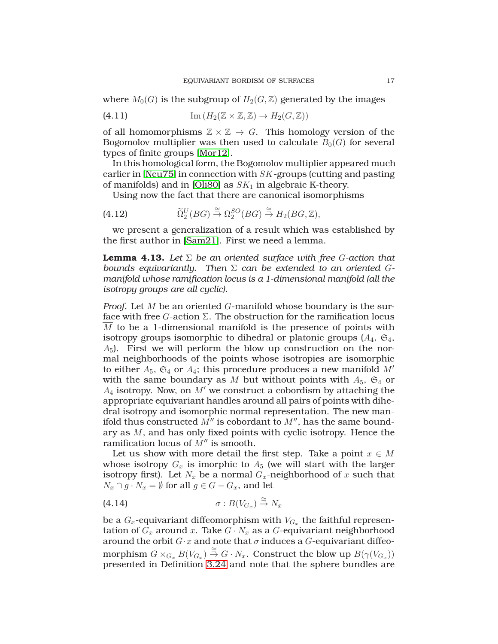where  $M_0(G)$  is the subgroup of  $H_2(G,\mathbb{Z})$  generated by the images

(4.11) 
$$
\operatorname{Im} (H_2(\mathbb{Z} \times \mathbb{Z}, \mathbb{Z}) \to H_2(G, \mathbb{Z}))
$$

of all homomorphisms  $\mathbb{Z} \times \mathbb{Z} \to G$ . This homology version of the Bogomolov multiplier was then used to calculate  $B_0(G)$  for several types of finite groups [\[Mor12\]](#page-27-9).

In this homological form, the Bogomolov multiplier appeared much earlier in [\[Neu75\]](#page-27-14) in connection with SK-groups (cutting and pasting of manifolds) and in [\[Oli80\]](#page-27-18) as  $SK_1$  in algebraic K-theory.

Using now the fact that there are canonical isomorphisms

(4.12) 
$$
\widetilde{\Omega}_2^U(BG) \stackrel{\cong}{\to} \Omega_2^{SO}(BG) \stackrel{\cong}{\to} H_2(BG,\mathbb{Z}),
$$

we present a generalization of a result which was established by the first author in [\[Sam21\]](#page-27-7). First we need a lemma.

<span id="page-16-0"></span>**Lemma 4.13.** *Let* Σ *be an oriented surface with free* G*-action that bounds equivariantly. Then* Σ *can be extended to an oriented* G*manifold whose ramification locus is a 1-dimensional manifold (all the isotropy groups are all cyclic).*

*Proof.* Let M be an oriented G-manifold whose boundary is the surface with free  $G$ -action  $\Sigma$ . The obstruction for the ramification locus  $\overline{M}$  to be a 1-dimensional manifold is the presence of points with isotropy groups isomorphic to dihedral or platonic groups  $(A_4, \mathfrak{S}_4,$  $A_5$ ). First we will perform the blow up construction on the normal neighborhoods of the points whose isotropies are isomorphic to either  $A_5$ ,  $\mathfrak{S}_4$  or  $A_4$ ; this procedure produces a new manifold  $M'$ with the same boundary as M but without points with  $A_5$ ,  $\mathfrak{S}_4$  or  $A_4$  isotropy. Now, on  $M'$  we construct a cobordism by attaching the appropriate equivariant handles around all pairs of points with dihedral isotropy and isomorphic normal representation. The new manifold thus constructed  $M''$  is cobordant to  $M''$ , has the same boundary as M, and has only fixed points with cyclic isotropy. Hence the ramification locus of  $M''$  is smooth.

Let us show with more detail the first step. Take a point  $x \in M$ whose isotropy  $G_x$  is imorphic to  $A_5$  (we will start with the larger isotropy first). Let  $N_x$  be a normal  $G_x$ -neighborhood of x such that  $N_x \cap g \cdot N_x = \emptyset$  for all  $g \in G - G_x$ , and let

$$
(4.14) \quad \sigma: B(V_{G_x}) \stackrel{\cong}{\to} N_x
$$

be a  $G_x$ -equivariant diffeomorphism with  $V_{G_x}$  the faithful representation of  $G_x$  around x. Take  $G \cdot N_x$  as a  $G$ -equivariant neighborhood around the orbit  $G \cdot x$  and note that  $\sigma$  induces a  $G$ -equivariant diffeomorphism  $G \times_{G_x} B(V_{G_x}) \stackrel{\cong}{\to} G \cdot N_x$ . Construct the blow up  $B(\gamma(V_{G_x}))$ presented in Definition [3.24](#page-12-2) and note that the sphere bundles are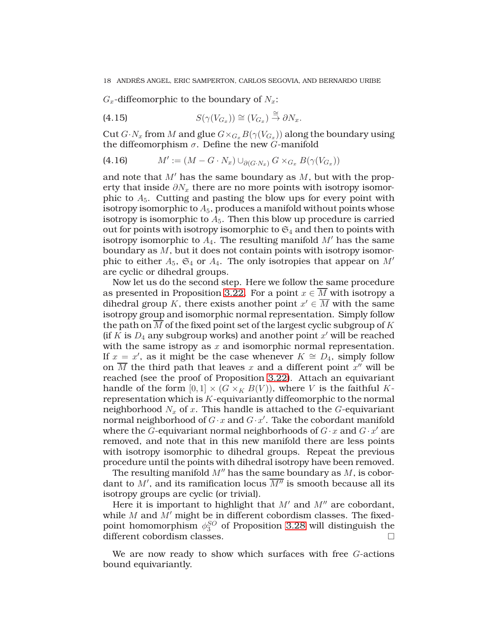$G_x$ -diffeomorphic to the boundary of  $N_x$ :

(4.15) 
$$
S(\gamma(V_{G_x})) \cong (V_{G_x}) \stackrel{\cong}{\to} \partial N_x.
$$

Cut  $G\!\cdot\! N_x$  from  $M$  and glue  $G\!\times_{G_x}\!B(\gamma(V_{G_x}))$  along the boundary using the diffeomorphism  $\sigma$ . Define the new *G*-manifold

(4.16) 
$$
M' := (M - G \cdot N_x) \cup_{\partial (G \cdot N_x)} G \times_{G_x} B(\gamma(V_{G_x}))
$$

and note that  $M'$  has the same boundary as  $M$ , but with the property that inside  $\partial N_x$  there are no more points with isotropy isomorphic to  $A_5$ . Cutting and pasting the blow ups for every point with isotropy isomorphic to  $A_5$ , produces a manifold without points whose isotropy is isomorphic to  $A_5$ . Then this blow up procedure is carried out for points with isotropy isomorphic to  $\mathfrak{S}_4$  and then to points with isotropy isomorphic to  $A_4$ . The resulting manifold  $M'$  has the same boundary as  $M$ , but it does not contain points with isotropy isomorphic to either  $A_5$ ,  $\mathfrak{S}_4$  or  $A_4$ . The only isotropies that appear on  $M'$ are cyclic or dihedral groups.

Now let us do the second step. Here we follow the same procedure as presented in Proposition [3.22.](#page-10-0) For a point  $x \in \overline{M}$  with isotropy a dihedral group K, there exists another point  $x' \in \overline{M}$  with the same isotropy group and isomorphic normal representation. Simply follow the path on  $\overline{M}$  of the fixed point set of the largest cyclic subgroup of K (if  $K$  is  $D_4$  any subgroup works) and another point  $x'$  will be reached with the same istropy as  $x$  and isomorphic normal representation. If  $x = x'$ , as it might be the case whenever  $K \cong D_4$ , simply follow on  $\overline{M}$  the third path that leaves x and a different point  $x''$  will be reached (see the proof of Proposition [3.22\)](#page-10-0). Attach an equivariant handle of the form  $[0,1] \times (G \times_K B(V))$ , where V is the faithful Krepresentation which is  $K$ -equivariantly diffeomorphic to the normal neighborhood  $N_x$  of x. This handle is attached to the G-equivariant normal neighborhood of  $G\!\cdot\! x$  and  $G\!\cdot\! x'$ . Take the cobordant manifold where the  $\tilde{G}$ -equivariant normal neighborhoods of  $G\cdotp x$  and  $G\cdotp x'$  are removed, and note that in this new manifold there are less points with isotropy isomorphic to dihedral groups. Repeat the previous procedure until the points with dihedral isotropy have been removed.

The resulting manifold  $M''$  has the same boundary as  $M$ , is cobordant to  $M'$ , and its ramification locus  $\overline{M''}$  is smooth because all its isotropy groups are cyclic (or trivial).

Here it is important to highlight that  $M'$  and  $M''$  are cobordant, while  $M$  and  $M'$  might be in different cobordism classes. The fixedpoint homomorphism  $\phi_3^{SO}$  of Proposition [3.28](#page-12-3) will distinguish the different cobordism classes.  $\Box$ 

We are now ready to show which surfaces with free G-actions bound equivariantly.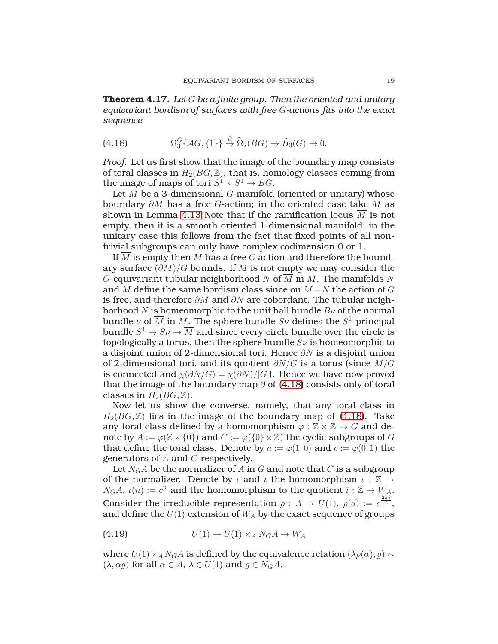<span id="page-18-0"></span>**Theorem 4.17.** *Let* G *be a finite group. Then the oriented and unitary equivariant bordism of surfaces with free* G*-actions fits into the exact sequence*

<span id="page-18-1"></span>(4.18) 
$$
\Omega_3^G\{\mathcal{A}G,\{1\}\}\stackrel{\partial}{\to}\widetilde{\Omega}_2(BG)\to\widetilde{B}_0(G)\to 0.
$$

*Proof.* Let us first show that the image of the boundary map consists of toral classes in  $H_2(BG, \mathbb{Z})$ , that is, homology classes coming from the image of maps of tori  $S^1 \times S^1 \to BG$ .

Let  $M$  be a 3-dimensional  $G$ -manifold (oriented or unitary) whose boundary ∂M has a free G-action; in the oriented case take M as shown in Lemma [4.13](#page-16-0) Note that if the ramification locus  $\overline{M}$  is not empty, then it is a smooth oriented 1-dimensional manifold; in the unitary case this follows from the fact that fixed points of all nontrivial subgroups can only have complex codimension 0 or 1.

If  $\overline{M}$  is empty then M has a free G action and therefore the boundary surface  $(\partial M)/G$  bounds. If  $\overline{M}$  is not empty we may consider the G-equivariant tubular neighborhood N of  $\overline{M}$  in M. The manifolds N and M define the same bordism class since on  $M - N$  the action of G is free, and therefore  $\partial M$  and  $\partial N$  are cobordant. The tubular neighborhood N is homeomorphic to the unit ball bundle  $B\nu$  of the normal bundle  $\nu$  of  $\overline{M}$  in  $M.$  The sphere bundle  $S\nu$  defines the  $S^1$ -principal bundle  $S^1 \to S\nu \to \overline{M}$  and since every circle bundle over the circle is topologically a torus, then the sphere bundle  $S_{\nu}$  is homeomorphic to a disjoint union of 2-dimensional tori. Hence  $\partial N$  is a disjoint union of 2-dimensional tori, and its quotient  $\partial N/G$  is a torus (since  $M/G$ is connected and  $\chi(\partial N/G) = \chi(\partial N)/|G|$ . Hence we have now proved that the image of the boundary map  $\partial$  of [\(4.18\)](#page-18-1) consists only of toral classes in  $H_2(BG, \mathbb{Z})$ .

Now let us show the converse, namely, that any toral class in  $H_2(BG, \mathbb{Z})$  lies in the image of the boundary map of [\(4.18\)](#page-18-1). Take any toral class defined by a homomorphism  $\varphi : \mathbb{Z} \times \mathbb{Z} \to G$  and denote by  $A := \varphi(\mathbb{Z} \times \{0\})$  and  $C := \varphi(\{0\} \times \mathbb{Z})$  the cyclic subgroups of G that define the toral class. Denote by  $a := \varphi(1,0)$  and  $c := \varphi(0,1)$  the generators of A and C respectively.

Let  $N_GA$  be the normalizer of A in G and note that C is a subgroup of the normalizer. Denote by  $\iota$  and  $\bar{\iota}$  the homomorphism  $\iota : \mathbb{Z} \to$  $N_GA$ ,  $\iota(n) := c^n$  and the homomorphism to the quotient  $\bar{\iota}: \mathbb{Z} \to W_A$ . Consider the irreducible representation  $\rho : A \to U(1)$ ,  $\rho(a) := e^{\frac{2\pi i}{|A|}}$ , and define the  $U(1)$  extension of  $W_A$  by the exact sequence of groups

$$
(4.19) \t\t\t U(1) \to U(1) \times_A N_G A \to W_A
$$

where  $U(1) \times_A N_G A$  is defined by the equivalence relation  $(\lambda \rho(\alpha), g) \sim$  $(\lambda, \alpha g)$  for all  $\alpha \in A$ ,  $\lambda \in U(1)$  and  $g \in N_G A$ .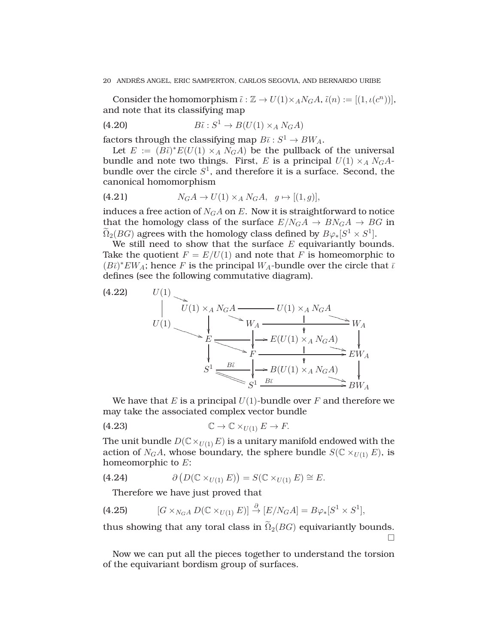Consider the homomorphism  $\tilde{\iota}: \mathbb{Z} \to U(1) \times_A N_G A$ ,  $\tilde{\iota}(n) := [(1, \iota(c^n))],$ and note that its classifying map

(4.20) 
$$
B\tilde{\iota}: S^1 \to B(U(1) \times_A N_G A)
$$

factors through the classifying map  $B\overline{\iota}: S^1 \to BW_A$ .

Let  $E := (B\tilde{\iota})^* E(U(1) \times_A N_G A)$  be the pullback of the universal bundle and note two things. First, E is a principal  $U(1) \times_A N_G A$ bundle over the circle  $S^1$ , and therefore it is a surface. Second, the canonical homomorphism

(4.21) 
$$
N_G A \to U(1) \times_A N_G A, \quad g \mapsto [(1, g)],
$$

induces a free action of  $N_GA$  on E. Now it is straightforward to notice that the homology class of the surface  $E/N_GA \rightarrow BN_GA \rightarrow BG$  in  $\widetilde{\Omega}_2(BG)$  agrees with the homology class defined by  $B\varphi_*[S^1\times S^1].$ 

We still need to show that the surface  $E$  equivariantly bounds. Take the quotient  $F = E/U(1)$  and note that F is homeomorphic to  $(B\bar{\iota})^*EW_A$ ; hence F is the principal  $W_A$ -bundle over the circle that  $\bar{\iota}$ defines (see the following commutative diagram).

(4.22) 
$$
U(1)
$$
\n
$$
U(1)
$$
\n
$$
E
$$
\n
$$
E
$$
\n
$$
S^1
$$
\n
$$
U(1) \times_A N_G A
$$
\n
$$
V_A
$$
\n
$$
V_A
$$
\n
$$
V_A
$$
\n
$$
V_A
$$
\n
$$
V_A
$$
\n
$$
V_A
$$
\n
$$
V_A
$$
\n
$$
V_A
$$
\n
$$
V_A
$$
\n
$$
V_A
$$
\n
$$
V_A
$$
\n
$$
V_A
$$
\n
$$
V_A
$$
\n
$$
V_A
$$
\n
$$
V_A
$$
\n
$$
V_A
$$
\n
$$
V_A
$$
\n
$$
V_A
$$
\n
$$
V_A
$$
\n
$$
V_A
$$
\n
$$
V_A
$$
\n
$$
V_A
$$
\n
$$
V_A
$$
\n
$$
V_A
$$
\n
$$
V_A
$$
\n
$$
S^1
$$
\n
$$
S^1
$$
\n
$$
S^1
$$
\n
$$
S^1
$$
\n
$$
V_A
$$
\n
$$
V_A
$$
\n
$$
V_A
$$
\n
$$
V_A
$$
\n
$$
V_A
$$
\n
$$
V_A
$$
\n
$$
V_A
$$
\n
$$
V_A
$$
\n
$$
V_A
$$
\n
$$
V_A
$$
\n
$$
V_A
$$

We have that E is a principal  $U(1)$ -bundle over F and therefore we may take the associated complex vector bundle

(4.23) 
$$
\mathbb{C} \to \mathbb{C} \times_{U(1)} E \to F.
$$

The unit bundle  $D(\mathbb{C}\times_{U(1)} E)$  is a unitary manifold endowed with the action of  $N_GA$ , whose boundary, the sphere bundle  $S(\mathbb{C} \times_{U(1)} E)$ , is homeomorphic to E:

(4.24) 
$$
\partial \left( D(\mathbb{C} \times_{U(1)} E) \right) = S(\mathbb{C} \times_{U(1)} E) \cong E.
$$

Therefore we have just proved that

(4.25) 
$$
[G \times_{N_G A} D(\mathbb{C} \times_{U(1)} E)] \stackrel{\partial}{\to} [E/N_G A] = B\varphi_*[S^1 \times S^1],
$$

thus showing that any toral class in  $\tilde{\Omega}_2(BG)$  equivariantly bounds.  $\Box$ 

Now we can put all the pieces together to understand the torsion of the equivariant bordism group of surfaces.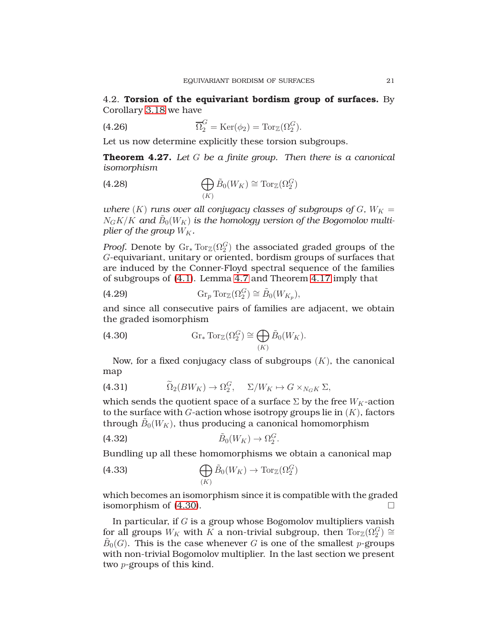4.2. **Torsion of the equivariant bordism group of surfaces.** By Corollary [3.18](#page-10-1) we have

(4.26) 
$$
\overline{\Omega}_2^G = \text{Ker}(\phi_2) = \text{Tor}_{\mathbb{Z}}(\Omega_2^G).
$$

Let us now determine explicitly these torsion subgroups.

<span id="page-20-0"></span>**Theorem 4.27.** *Let* G *be a finite group. Then there is a canonical isomorphism*

(4.28) 
$$
\bigoplus_{(K)} \tilde{B}_0(W_K) \cong \operatorname{Tor}_{\mathbb{Z}}(\Omega_2^G)
$$

*where*  $(K)$  *runs over all conjugacy classes of subgroups of*  $G$ *,*  $W_K =$  $N_GK/K$  and  $\tilde{B}_0(W_K)$  is the homology version of the Bogomolov multi*plier of the group*  $W_K$ .

*Proof.* Denote by  $\mathrm{Gr}_\ast \mathrm{Tor}_\mathbb{Z} (\Omega_2^G)$  the associated graded groups of the G-equivariant, unitary or oriented, bordism groups of surfaces that are induced by the Conner-Floyd spectral sequence of the families of subgroups of [\(4.1\)](#page-14-1). Lemma [4.7](#page-15-0) and Theorem [4.17](#page-18-0) imply that

(4.29) 
$$
\operatorname{Gr}_p \operatorname{Tor}_\mathbb{Z}(\Omega_2^G) \cong \tilde{B}_0(W_{K_p}),
$$

and since all consecutive pairs of families are adjacent, we obtain the graded isomorphism

<span id="page-20-1"></span>(4.30) 
$$
\operatorname{Gr}_{*} \operatorname{Tor}_{\mathbb{Z}}(\Omega_{2}^{G}) \cong \bigoplus_{(K)} \tilde{B}_{0}(W_{K}).
$$

Now, for a fixed conjugacy class of subgroups  $(K)$ , the canonical map

(4.31) 
$$
\widetilde{\Omega}_2(BW_K) \to \Omega_2^G, \quad \Sigma/W_K \mapsto G \times_{N_G K} \Sigma,
$$

which sends the quotient space of a surface  $\Sigma$  by the free  $W_K$ -action to the surface with  $G$ -action whose isotropy groups lie in  $(K)$ , factors through  $\tilde{B}_0(W_K)$ , thus producing a canonical homomorphism

$$
(4.32) \qquad \qquad \tilde{B}_0(W_K) \to \Omega_2^G.
$$

Bundling up all these homomorphisms we obtain a canonical map

(4.33) 
$$
\bigoplus_{(K)} \tilde{B}_0(W_K) \to \operatorname{Tor}_{\mathbb{Z}}(\Omega_2^G)
$$

which becomes an isomorphism since it is compatible with the graded isomorphism of [\(4.30\)](#page-20-1).

In particular, if  $G$  is a group whose Bogomolov multipliers vanish for all groups  $W_K$  with  $\tilde{K}$  a non-trivial subgroup, then  $\text{Tor}_{\mathbb{Z}}(\Omega_2^G) \cong$  $\widetilde{B}_0(G)$ . This is the case whenever G is one of the smallest p-groups with non-trivial Bogomolov multiplier. In the last section we present two p-groups of this kind.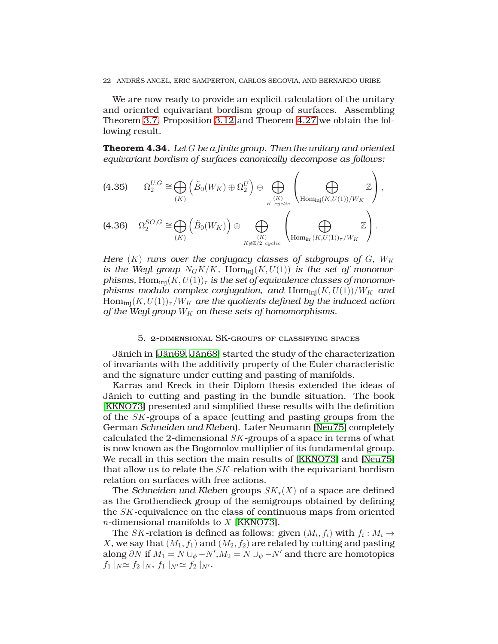We are now ready to provide an explicit calculation of the unitary and oriented equivariant bordism group of surfaces. Assembling Theorem [3.7,](#page-7-0) Proposition [3.12](#page-8-1) and Theorem [4.27](#page-20-0) we obtain the following result.

<span id="page-21-0"></span>**Theorem 4.34.** *Let* G *be a finite group. Then the unitary and oriented equivariant bordism of surfaces canonically decompose as follows:*

$$
(4.35) \qquad \Omega_2^{U,G} \cong \bigoplus_{(K)} \left( \tilde{B}_0(W_K) \oplus \Omega_2^U \right) \oplus \bigoplus_{\substack{K \text{ cyclic} \\ \text{cyclic}}} \left( \bigoplus_{\text{Hom}_{\text{inj}}(K,U(1))/W_K} \mathbb{Z} \right),
$$
\n
$$
(4.36) \qquad \Omega_2^{SO,G} \cong \bigoplus_{(K)} \left( \tilde{B}_0(W_K) \right) \oplus \bigoplus_{\substack{K \cong \mathbb{Z}/2 \text{ cyclic} \\ \text{Hom}_{\text{inj}}(K,U(1))_{\tau}/W_K}} \left( \bigoplus_{\substack{K \cong \mathbb{Z} \\ \text{Hom}_{\text{inj}}(K,U(1))_{\tau}/W_K}} \mathbb{Z} \right).
$$

*Here*  $(K)$  *runs over the conjugacy classes of subgroups of G,*  $W_K$ is the Weyl group  $N_G K/K$ ,  $Hom_{\text{ini}}(K, U(1))$  is the set of monomor*phisms,* Hom<sub>ini</sub> $(K, U(1))_{\tau}$  *is the set of equivalence classes of monomorphisms modulo complex conjugation, and Hom*<sub>inj</sub> $(K, U(1))/W_K$  *and*  $Hom_{ini}(K, U(1))_{\tau}/W_K$  are the quotients defined by the induced action *of the Weyl group*  $W_K$  *on these sets of homomorphisms.* 

### 5. 2-dimensional SK-groups of classifying spaces

Jänich in [\[Jän69,](#page-27-11) [Jän68\]](#page-27-12) started the study of the characterization of invariants with the additivity property of the Euler characteristic and the signature under cutting and pasting of manifolds.

Karras and Kreck in their Diplom thesis extended the ideas of Jänich to cutting and pasting in the bundle situation. The book [\[KKNO73\]](#page-27-13) presented and simplified these results with the definition of the SK-groups of a space (cutting and pasting groups from the German *Schneiden und Kleben*). Later Neumann [\[Neu75\]](#page-27-14) completely calculated the 2-dimensional  $SK$ -groups of a space in terms of what is now known as the Bogomolov multiplier of its fundamental group. We recall in this section the main results of [\[KKNO73\]](#page-27-13) and [\[Neu75\]](#page-27-14) that allow us to relate the  $SK$ -relation with the equivariant bordism relation on surfaces with free actions.

The *Schneiden und Kleben* groups SK∗(X) of a space are defined as the Grothendieck group of the semigroups obtained by defining the SK-equivalence on the class of continuous maps from oriented  $n$ -dimensional manifolds to  $X$  [\[KKNO73\]](#page-27-13).

The  $SK$ -relation is defined as follows: given  $(M_i,f_i)$  with  $f_i:M_i\to$ X, we say that  $(M_1, f_1)$  and  $(M_2, f_2)$  are related by cutting and pasting along ∂N if  $M_1 = N \cup_{\phi} -N', M_2 = N \cup_{\psi} -N'$  and there are homotopies  $f_1|_N \simeq f_2|_N, f_1|_{N'} \simeq f_2|_{N'}.$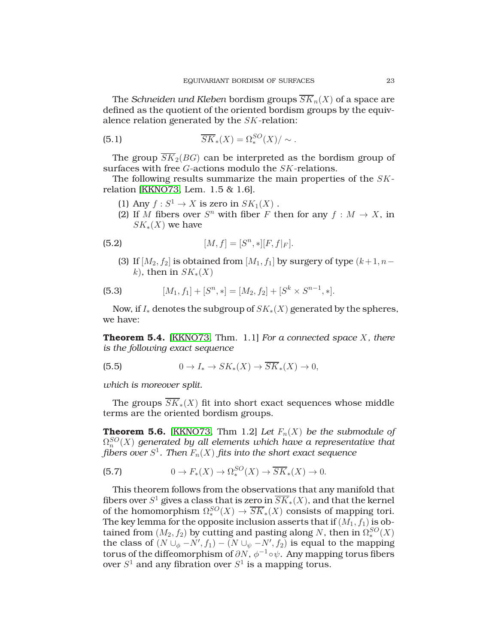The *Schneiden und Kleben* bordism groups  $\overline{SK}_n(X)$  of a space are defined as the quotient of the oriented bordism groups by the equivalence relation generated by the SK-relation:

(5.1) 
$$
\overline{SK}_*(X) = \Omega_*^{SO}(X) / \sim.
$$

The group  $\overline{SK}_2(BG)$  can be interpreted as the bordism group of surfaces with free G-actions modulo the SK-relations.

The following results summarize the main properties of the SKrelation [\[KKNO73,](#page-27-13) Lem. 1.5 & 1.6].

- (1) Any  $f: S^1 \to X$  is zero in  $SK_1(X)$ .
- (2) If M fibers over  $S<sup>n</sup>$  with fiber F then for any  $f : M \to X$ , in  $SK_*(X)$  we have

(5.2) 
$$
[M, f] = [S^n, *][F, f|_F].
$$

(3) If  $[M_2, f_2]$  is obtained from  $[M_1, f_1]$  by surgery of type  $(k+1, n-1)$ k), then in  $SK_*(X)$ 

(5.3) 
$$
[M_1, f_1] + [S^n, *] = [M_2, f_2] + [S^k \times S^{n-1}, *].
$$

Now, if  $I_*$  denotes the subgroup of  $SK_*(X)$  generated by the spheres, we have:

**Theorem 5.4.** [\[KKNO73,](#page-27-13) Thm. 1.1] *For a connected space* X*, there is the following exact sequence*

(5.5) 
$$
0 \to I_* \to SK_*(X) \to \overline{SK}_*(X) \to 0,
$$

*which is moreover split.*

The groups  $SK_*(X)$  fit into short exact sequences whose middle terms are the oriented bordism groups.

<span id="page-22-0"></span>**Theorem 5.6.** [\[KKNO73,](#page-27-13) Thm 1.2] *Let*  $F_n(X)$  *be the submodule of*  $\Omega^{SO}_n(X)$  generated by all elements which have a representative that  $\operatorname{fibers}$  over  $S^1$ . Then  $F_n(X)$   $\operatorname{fits}$  into the short exact sequence

(5.7) 
$$
0 \to F_*(X) \to \Omega_*^{SO}(X) \to \overline{SK}_*(X) \to 0.
$$

This theorem follows from the observations that any manifold that fibers over  $S^1$  gives a class that is zero in  $\overline{SK}_*(X)$ , and that the kernel of the homomorphism  $\Omega_*^{SO}(X) \to \overline{SK}_*(X)$  consists of mapping tori. The key lemma for the opposite inclusion asserts that if  $(M_1, f_1)$  is obtained from  $(M_2, f_2)$  by cutting and pasting along N, then in  $\Omega^{SO}_*(X)$ the class of  $(N \cup_{\phi} -N', f_1) - (N \cup_{\psi} -N', f_2)$  is equal to the mapping torus of the diffeomorphism of  $\partial N$ ,  $\phi^{-1} \circ \psi$ . Any mapping torus fibers over  $S^1$  and any fibration over  $S^1$  is a mapping torus.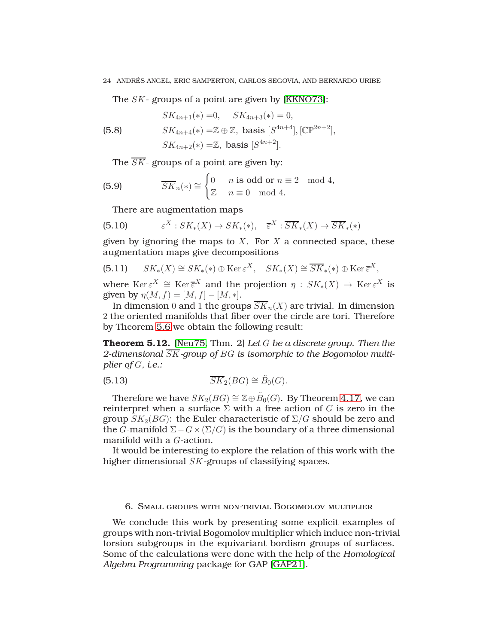The SK- groups of a point are given by [\[KKNO73\]](#page-27-13):

$$
SK_{4n+1}(*)=0, \quad SK_{4n+3}(*)=0,
$$

(5.8) 
$$
SK_{4n+4}(*) = \mathbb{Z} \oplus \mathbb{Z}, \text{ basis } [S^{4n+4}], [\mathbb{CP}^{2n+2}],
$$

$$
SK_{4n+2}(*) = \mathbb{Z}, \text{ basis } [S^{4n+2}].
$$

The  $\overline{SK}$ - groups of a point are given by:

(5.9) 
$$
\overline{SK}_n(*) \cong \begin{cases} 0 & n \text{ is odd or } n \equiv 2 \mod 4, \\ \mathbb{Z} & n \equiv 0 \mod 4. \end{cases}
$$

There are augmentation maps

(5.10) 
$$
\varepsilon^X: SK_*(X) \to SK_*(*) , \quad \overline{\varepsilon}^X: \overline{SK}_*(X) \to \overline{SK}_*(*)
$$

given by ignoring the maps to  $X$ . For  $X$  a connected space, these augmentation maps give decompositions

(5.11) 
$$
SK_*(X) \cong SK_*(*) \oplus \text{Ker } \varepsilon^X, \quad SK_*(X) \cong \overline{SK}_*(*) \oplus \text{Ker } \overline{\varepsilon}^X,
$$

where  $\mathrm{Ker} \, \varepsilon^X \cong \mathrm{Ker} \, \overline{\varepsilon}^X$  and the projection  $\eta : SK_*(X) \to \mathrm{Ker} \, \varepsilon^X$  is given by  $\eta(M, f) = [M, f] - [M, *].$ 

In dimension 0 and 1 the groups  $\overline{SK}_n(X)$  are trivial. In dimension 2 the oriented manifolds that fiber over the circle are tori. Therefore by Theorem [5.6](#page-22-0) we obtain the following result:

**Theorem 5.12.** [\[Neu75,](#page-27-14) Thm. 2] *Let* G *be a discrete group. Then the 2-dimensional* SK*-group of* BG *is isomorphic to the Bogomolov multiplier of* G*, i.e.:*

(5.13) 
$$
\overline{SK}_2(BG) \cong \widetilde{B}_0(G).
$$

Therefore we have  $SK_2(BG) \cong \mathbb{Z} \oplus \tilde{B}_0(G).$  By Theorem [4.17,](#page-18-0) we can reinterpret when a surface  $\Sigma$  with a free action of G is zero in the group  $SK_2(BG)$ : the Euler characteristic of  $\Sigma/G$  should be zero and the *G*-manifold  $\Sigma - G \times (\Sigma/G)$  is the boundary of a three dimensional manifold with a G-action.

It would be interesting to explore the relation of this work with the higher dimensional SK-groups of classifying spaces.

## 6. Small groups with non-trivial Bogomolov multiplier

We conclude this work by presenting some explicit examples of groups with non-trivial Bogomolov multiplier which induce non-trivial torsion subgroups in the equivariant bordism groups of surfaces. Some of the calculations were done with the help of the *Homological Algebra Programming* package for GAP [\[GAP21\]](#page-27-19).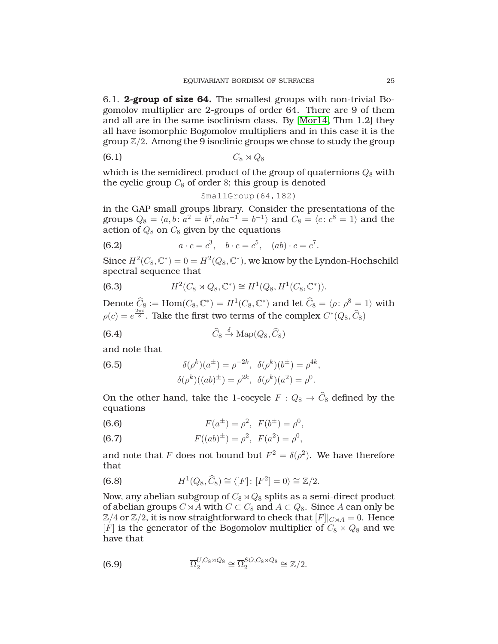6.1. **2-group of size 64.** The smallest groups with non-trivial Bogomolov multiplier are 2-groups of order 64. There are 9 of them and all are in the same isoclinism class. By [\[Mor14,](#page-27-20) Thm 1.2] they all have isomorphic Bogomolov multipliers and in this case it is the group  $\mathbb{Z}/2$ . Among the 9 isoclinic groups we chose to study the group

$$
(6.1) \tC_8 \rtimes Q_8
$$

which is the semidirect product of the group of quaternions  $Q_8$  with the cyclic group  $C_8$  of order 8; this group is denoted

$$
SmallGroup(64,182)
$$

in the GAP small groups library. Consider the presentations of the groups  $Q_8 = \langle a, b \colon a^2 = b^2, aba^{-1} = b^{-1} \rangle$  and  $C_8 = \langle c \colon c^8 = 1 \rangle$  and the action of  $Q_8$  on  $C_8$  given by the equations

(6.2) 
$$
a \cdot c = c^3, \quad b \cdot c = c^5, \quad (ab) \cdot c = c^7.
$$

Since  $H^2(C_8, \mathbb{C}^*) = 0 = H^2(Q_8, \mathbb{C}^*)$ , we know by the Lyndon-Hochschild spectral sequence that

(6.3) 
$$
H^2(C_8 \rtimes Q_8, \mathbb{C}^*) \cong H^1(Q_8, H^1(C_8, \mathbb{C}^*)).
$$

Denote  $\widehat{C}_8 := \text{Hom}(C_8, \mathbb{C}^*) = H^1(C_8, \mathbb{C}^*)$  and let  $\widehat{C}_8 = \langle \rho : \rho^8 = 1 \rangle$  with  $\rho(c) = e^{\frac{2\pi i}{8}}$ . Take the first two terms of the complex  $C^*(Q_8, \widehat{C}_8)$ 

(6.4) 
$$
\widehat{C}_8 \xrightarrow{\delta} \mathrm{Map}(Q_8, \widehat{C}_8)
$$

and note that

(6.5) 
$$
\delta(\rho^k)(a^{\pm}) = \rho^{-2k}, \ \delta(\rho^k)(b^{\pm}) = \rho^{4k}, \n\delta(\rho^k)((ab)^{\pm}) = \rho^{2k}, \ \delta(\rho^k)(a^2) = \rho^0.
$$

On the other hand, take the 1-cocycle  $F: Q_8 \to \widehat{C}_8$  defined by the equations

(6.6) 
$$
F(a^{\pm}) = \rho^2, \ F(b^{\pm}) = \rho^0,
$$

(6.7) 
$$
F((ab)^{\pm}) = \rho^2, F(a^2) = \rho^0,
$$

and note that F does not bound but  $F^2 = \delta(\rho^2)$ . We have therefore that

(6.8) 
$$
H^1(Q_8, \widehat{C}_8) \cong \langle [F] \colon [F^2] = 0 \rangle \cong \mathbb{Z}/2.
$$

Now, any abelian subgroup of  $C_8 \rtimes Q_8$  splits as a semi-direct product of abelian groups  $C \rtimes A$  with  $C \subset C_8$  and  $A \subset Q_8$ . Since A can only be  $\mathbb{Z}/4$  or  $\mathbb{Z}/2$ , it is now straightforward to check that  $[F]|_{C\rtimes A}=0$ . Hence [F] is the generator of the Bogomolov multiplier of  $C_8 \rtimes Q_8$  and we have that

(6.9) 
$$
\overline{\Omega}_2^{U,C_8 \rtimes Q_8} \cong \overline{\Omega}_2^{SO,C_8 \rtimes Q_8} \cong \mathbb{Z}/2.
$$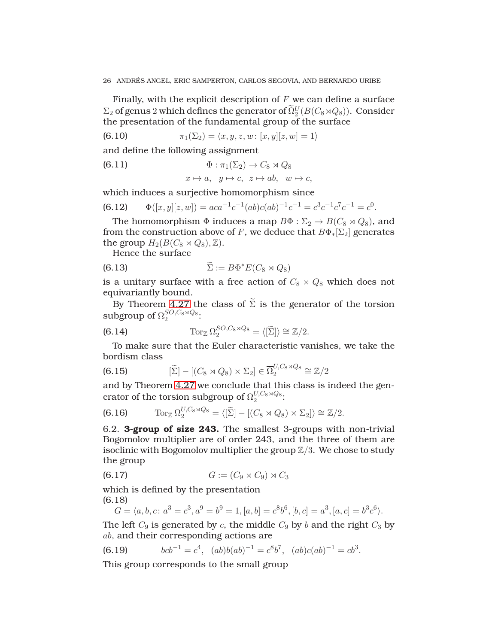Finally, with the explicit description of  $F$  we can define a surface  $\Sigma_2$  of genus 2 which defines the generator of  $\widetilde{\Omega}_2^U(B(C_8\rtimes Q_8)).$  Consider the presentation of the fundamental group of the surface

(6.10) 
$$
\pi_1(\Sigma_2) = \langle x, y, z, w : [x, y][z, w] = 1 \rangle
$$

and define the following assignment

(6.11) Φ : π1(Σ2) → C<sup>8</sup> ⋊ Q<sup>8</sup>

<span id="page-25-0"></span>
$$
x \mapsto a, \ \ y \mapsto c, \ \ z \mapsto ab, \ \ w \mapsto c,
$$

which induces a surjective homomorphism since

(6.12) 
$$
\Phi([x, y][z, w]) = aca^{-1}c^{-1}(ab)c(ab)^{-1}c^{-1} = c^{3}c^{-1}c^{7}c^{-1} = c^{0}.
$$

The homomorphism  $\Phi$  induces a map  $B\Phi : \Sigma_2 \to B(C_8 \rtimes Q_8)$ , and from the construction above of F, we deduce that  $B\Phi_*[\Sigma_2]$  generates the group  $H_2(B(C_8 \rtimes Q_8), \mathbb{Z})$ .

Hence the surface

(6.13) 
$$
\widetilde{\Sigma} := B\Phi^* E(C_8 \rtimes Q_8)
$$

is a unitary surface with a free action of  $C_8 \rtimes Q_8$  which does not equivariantly bound.

By Theorem [4.27](#page-20-0) the class of  $\tilde{\Sigma}$  is the generator of the torsion subgroup of  $\Omega_2^{SO,C_8 \rtimes Q_8}$ :

(6.14) 
$$
\operatorname{Tor}_{\mathbb{Z}} \Omega_2^{SO,C_8 \times Q_8} = \langle [\widetilde{\Sigma}] \rangle \cong \mathbb{Z}/2.
$$

To make sure that the Euler characteristic vanishes, we take the bordism class

(6.15) 
$$
[\widetilde{\Sigma}] - [(C_8 \rtimes Q_8) \times \Sigma_2] \in \overline{\Omega}_2^{U, C_8 \rtimes Q_8} \cong \mathbb{Z}/2
$$

and by Theorem [4.27](#page-20-0) we conclude that this class is indeed the generator of the torsion subgroup of  $\Omega_2^{U,C_8 \rtimes Q_8}$ :

(6.16) 
$$
\operatorname{Tor}_{\mathbb{Z}} \Omega_2^{U, C_8 \times Q_8} = \langle [\widetilde{\Sigma}] - [(C_8 \times Q_8) \times \Sigma_2] \rangle \cong \mathbb{Z}/2.
$$

6.2. **3-group of size 243.** The smallest 3-groups with non-trivial Bogomolov multiplier are of order 243, and the three of them are isoclinic with Bogomolov multiplier the group  $\mathbb{Z}/3$ . We chose to study the group

$$
(6.17) \tG := (C_9 \rtimes C_9) \rtimes C_3
$$

which is defined by the presentation (6.18)

$$
G = \langle a, b, c \colon a^3 = c^3, a^9 = b^9 = 1, [a, b] = c^8 b^6, [b, c] = a^3, [a, c] = b^3 c^6 \rangle.
$$

The left  $C_9$  is generated by c, the middle  $C_9$  by b and the right  $C_3$  by ab, and their corresponding actions are

(6.19) 
$$
bcb^{-1} = c^4, (ab)b(ab)^{-1} = c^8b^7, (ab)c(ab)^{-1} = cb^3.
$$

This group corresponds to the small group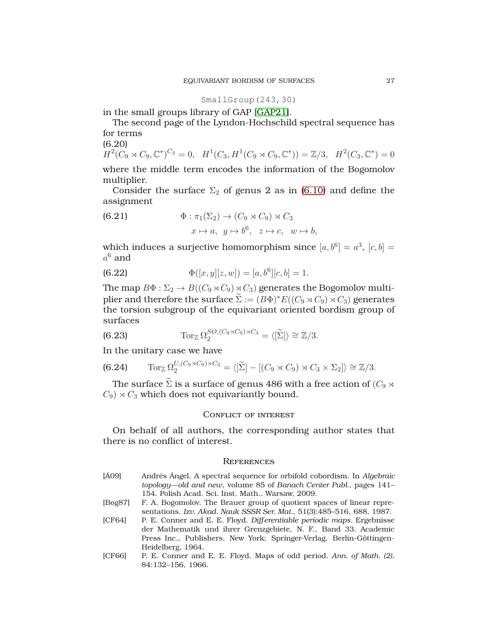SmallGroup(243,30)

in the small groups library of GAP [\[GAP21\]](#page-27-19).

The second page of the Lyndon-Hochschild spectral sequence has for terms

(6.20)  $H^2(C_9 \rtimes C_9, \mathbb{C}^*)^{C_3} = 0$ ,  $H^1(C_3, H^1(C_9 \rtimes C_9, \mathbb{C}^*)) = \mathbb{Z}/3$ ,  $H^2(C_3, \mathbb{C}^*) = 0$ 

where the middle term encodes the information of the Bogomolov multiplier.

Consider the surface  $\Sigma_2$  of genus 2 as in [\(6.10\)](#page-25-0) and define the assignment

(6.21) 
$$
\Phi: \pi_1(\Sigma_2) \to (C_9 \rtimes C_9) \rtimes C_3
$$

$$
x \mapsto a, \ y \mapsto b^6, \ z \mapsto c, \ w \mapsto b,
$$

which induces a surjective homomorphism since  $[a, b^6] = a^3$ ,  $[c, b] =$  $a^6$  and

(6.22) 
$$
\Phi([x,y][z,w]) = [a,b^6][c,b] = 1.
$$

The map  $B\Phi : \Sigma_2 \to B((C_9 \rtimes C_9) \rtimes C_3)$  generates the Bogomolov multiplier and therefore the surface  $\Sigma := (B\Phi)^* E((C_9 \rtimes C_9) \rtimes C_3)$  generates the torsion subgroup of the equivariant oriented bordism group of surfaces

(6.23) 
$$
\operatorname{Tor}_{\mathbb{Z}} \Omega_2^{SO,(C_9 \rtimes C_9) \rtimes C_3} = \langle [\widetilde{\Sigma}] \rangle \cong \mathbb{Z}/3.
$$

In the unitary case we have

$$
(6.24) \qquad \operatorname{Tor}_{\mathbb{Z}} \Omega_2^{U, (C_9 \rtimes C_9) \rtimes C_3} = \langle [\widetilde{\Sigma}] - [(C_9 \rtimes C_9) \rtimes C_3 \times \Sigma_2] \rangle \cong \mathbb{Z}/3.
$$

The surface  $\Sigma$  is a surface of genus 486 with a free action of ( $C_9 \rtimes$  $C_9$ )  $\times$   $C_3$  which does not equivariantly bound.

## CONFLICT OF INTEREST

On behalf of all authors, the corresponding author states that there is no conflict of interest.

### **REFERENCES**

- <span id="page-26-3"></span>[Á09] Andrés Ángel. A spectral sequence for orbifold cobordism. In *Algebraic topology—old and new*, volume 85 of *Banach Center Publ.*, pages 141– 154. Polish Acad. Sci. Inst. Math., Warsaw, 2009.
- <span id="page-26-0"></span>[Bog87] F. A. Bogomolov. The Brauer group of quotient spaces of linear representations. *Izv. Akad. Nauk SSSR Ser. Mat.*, 51(3):485–516, 688, 1987.
- <span id="page-26-1"></span>[CF64] P. E. Conner and E. E. Floyd. *Differentiable periodic maps*. Ergebnisse der Mathematik und ihrer Grenzgebiete, N. F., Band 33. Academic Press Inc., Publishers, New York; Springer-Verlag, Berlin-Göttingen-Heidelberg, 1964.
- <span id="page-26-2"></span>[CF66] P. E. Conner and E. E. Floyd. Maps of odd period. *Ann. of Math. (2)*, 84:132–156, 1966.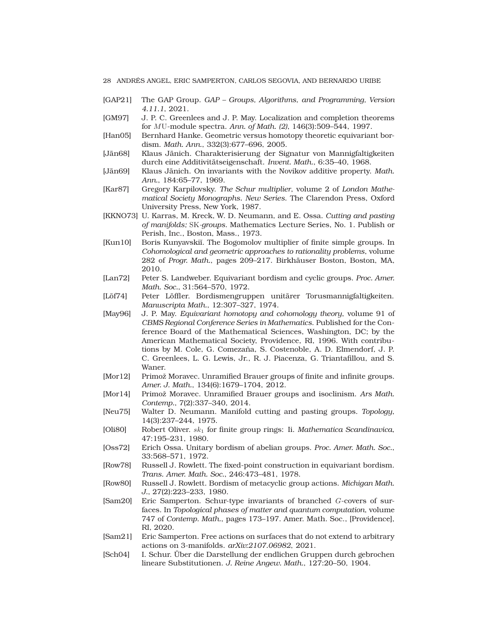- <span id="page-27-19"></span>[GAP21] The GAP Group. *GAP – Groups, Algorithms, and Programming, Version 4.11.1*, 2021.
- <span id="page-27-4"></span>[GM97] J. P. C. Greenlees and J. P. May. Localization and completion theorems for MU-module spectra. *Ann. of Math. (2)*, 146(3):509–544, 1997.
- <span id="page-27-15"></span>[Han05] Bernhard Hanke. Geometric versus homotopy theoretic equivariant bordism. *Math. Ann.*, 332(3):677–696, 2005.
- <span id="page-27-12"></span>[Jän68] Klaus Jänich. Charakterisierung der Signatur von Mannigfaltigkeiten durch eine Additivitätseigenschaft. *Invent. Math.*, 6:35–40, 1968.
- <span id="page-27-11"></span>[Jän69] Klaus Jänich. On invariants with the Novikov additive property. *Math. Ann.*, 184:65–77, 1969.
- <span id="page-27-17"></span>[Kar87] Gregory Karpilovsky. *The Schur multiplier*, volume 2 of *London Mathematical Society Monographs. New Series*. The Clarendon Press, Oxford University Press, New York, 1987.
- <span id="page-27-13"></span>[KKNO73] U. Karras, M. Kreck, W. D. Neumann, and E. Ossa. *Cutting and pasting of manifolds;* SK*-groups*. Mathematics Lecture Series, No. 1. Publish or Perish, Inc., Boston, Mass., 1973.
- <span id="page-27-8"></span>[Kun10] Boris Kunyavskiı̆. The Bogomolov multiplier of finite simple groups. In *Cohomological and geometric approaches to rationality problems*, volume 282 of *Progr. Math.*, pages 209–217. Birkhäuser Boston, Boston, MA, 2010.
- <span id="page-27-0"></span>[Lan72] Peter S. Landweber. Equivariant bordism and cyclic groups. *Proc. Amer. Math. Soc.*, 31:564–570, 1972.
- <span id="page-27-5"></span>[Löf74] Peter Löffler. Bordismengruppen unitärer Torusmannigfaltigkeiten. *Manuscripta Math.*, 12:307–327, 1974.
- <span id="page-27-3"></span>[May96] J. P. May. *Equivariant homotopy and cohomology theory*, volume 91 of *CBMS Regional Conference Series in Mathematics*. Published for the Conference Board of the Mathematical Sciences, Washington, DC; by the American Mathematical Society, Providence, RI, 1996. With contributions by M. Cole, G. Comezaña, S. Costenoble, A. D. Elmendorf, J. P. C. Greenlees, L. G. Lewis, Jr., R. J. Piacenza, G. Triantafillou, and S. Waner.
- <span id="page-27-9"></span>[Mor12] Primož Moravec. Unramified Brauer groups of finite and infinite groups. *Amer. J. Math.*, 134(6):1679–1704, 2012.
- <span id="page-27-20"></span>[Mor14] Primož Moravec. Unramified Brauer groups and isoclinism. *Ars Math. Contemp.*, 7(2):337–340, 2014.
- <span id="page-27-14"></span>[Neu75] Walter D. Neumann. Manifold cutting and pasting groups. *Topology*, 14(3):237–244, 1975.
- <span id="page-27-18"></span>[Oli80] Robert Oliver. sk<sup>1</sup> for finite group rings: Ii. *Mathematica Scandinavica*, 47:195–231, 1980.
- <span id="page-27-1"></span>[Oss72] Erich Ossa. Unitary bordism of abelian groups. *Proc. Amer. Math. Soc.*, 33:568–571, 1972.
- <span id="page-27-10"></span>[Row78] Russell J. Rowlett. The fixed-point construction in equivariant bordism. *Trans. Amer. Math. Soc.*, 246:473–481, 1978.
- <span id="page-27-2"></span>[Row80] Russell J. Rowlett. Bordism of metacyclic group actions. *Michigan Math. J.*, 27(2):223–233, 1980.
- <span id="page-27-6"></span>[Sam20] Eric Samperton. Schur-type invariants of branched G-covers of surfaces. In *Topological phases of matter and quantum computation*, volume 747 of *Contemp. Math.*, pages 173–197. Amer. Math. Soc., [Providence], RI, 2020.
- <span id="page-27-7"></span>[Sam21] Eric Samperton. Free actions on surfaces that do not extend to arbitrary actions on 3-manifolds. *arXiv:2107.06982*, 2021.
- <span id="page-27-16"></span>[Sch04] I. Schur. Über die Darstellung der endlichen Gruppen durch gebrochen lineare Substitutionen. *J. Reine Angew. Math.*, 127:20–50, 1904.